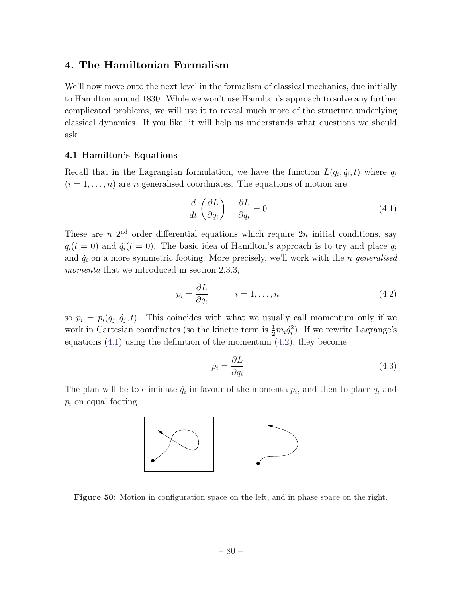# 4. The Hamiltonian Formalism

We'll now move onto the next level in the formalism of classical mechanics, due initially to Hamilton around 1830. While we won't use Hamilton's approach to solve any further complicated problems, we will use it to reveal much more of the structure underlying classical dynamics. If you like, it will help us understands what questions we should ask.

# 4.1 Hamilton's Equations

Recall that in the Lagrangian formulation, we have the function  $L(q_i, \dot{q}_i, t)$  where  $q_i$  $(i = 1, \ldots, n)$  are *n* generalised coordinates. The equations of motion are

$$
\frac{d}{dt}\left(\frac{\partial L}{\partial \dot{q}_i}\right) - \frac{\partial L}{\partial q_i} = 0\tag{4.1}
$$

These are  $n$  2<sup>nd</sup> order differential equations which require  $2n$  initial conditions, say  $q_i(t = 0)$  and  $\dot{q}_i(t = 0)$ . The basic idea of Hamilton's approach is to try and place  $q_i$ and  $\dot{q}_i$  on a more symmetric footing. More precisely, we'll work with the *n* generalised *momenta* that we introduced in section 2.3.3,

$$
p_i = \frac{\partial L}{\partial \dot{q}_i} \qquad i = 1, \dots, n \tag{4.2}
$$

so  $p_i = p_i(q_j, \dot{q}_j, t)$ . This coincides with what we usually call momentum only if we work in Cartesian coordinates (so the kinetic term is  $\frac{1}{2}m_i\dot{q}_i^2$ ). If we rewrite Lagrange's equations  $(4.1)$  using the definition of the momentum  $(4.2)$ , they become

$$
\dot{p}_i = \frac{\partial L}{\partial q_i} \tag{4.3}
$$

The plan will be to eliminate  $\dot{q}_i$  in favour of the momenta  $p_i$ , and then to place  $q_i$  and *p<sup>i</sup>* on equal footing.



Figure 50: Motion in configuration space on the left, and in phase space on the right.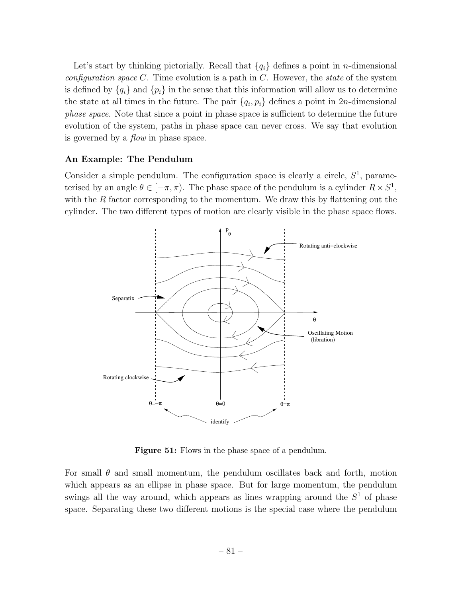Let's start by thinking pictorially. Recall that  ${q_i}$  defines a point in *n*-dimensional *configuration space C*. Time evolution is a path in *C*. However, the *state* of the system is defined by  ${q_i}$  and  ${p_i}$  in the sense that this information will allow us to determine the state at all times in the future. The pair  ${q_i, p_i}$  defines a point in 2*n*-dimensional *phase space*. Note that since a point in phase space is sufficient to determine the future evolution of the system, paths in phase space can never cross. We say that evolution is governed by a *flow* in phase space.

## An Example: The Pendulum

Consider a simple pendulum. The configuration space is clearly a circle, *S*<sup>1</sup>, parameterised by an angle  $\theta \in [-\pi, \pi)$ . The phase space of the pendulum is a cylinder  $R \times S^1$ , with the *R* factor corresponding to the momentum. We draw this by flattening out the cylinder. The two different types of motion are clearly visible in the phase space flows.



Figure 51: Flows in the phase space of a pendulum.

For small  $\theta$  and small momentum, the pendulum oscillates back and forth, motion which appears as an ellipse in phase space. But for large momentum, the pendulum swings all the way around, which appears as lines wrapping around the  $S<sup>1</sup>$  of phase space. Separating these two different motions is the special case where the pendulum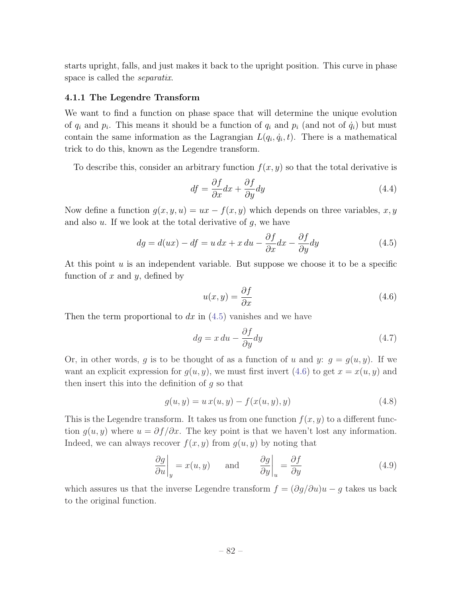starts upright, falls, and just makes it back to the upright position. This curve in phase space is called the *separatix*.

#### 4.1.1 The Legendre Transform

We want to find a function on phase space that will determine the unique evolution of  $q_i$  and  $p_i$ . This means it should be a function of  $q_i$  and  $p_i$  (and not of  $\dot{q}_i$ ) but must contain the same information as the Lagrangian  $L(q_i, \dot{q}_i, t)$ . There is a mathematical trick to do this, known as the Legendre transform.

To describe this, consider an arbitrary function  $f(x, y)$  so that the total derivative is

$$
df = \frac{\partial f}{\partial x}dx + \frac{\partial f}{\partial y}dy\tag{4.4}
$$

Now define a function  $g(x, y, u) = ux - f(x, y)$  which depends on three variables, x, y and also *u*. If we look at the total derivative of *g*, we have

$$
dg = d(ux) - df = u dx + x du - \frac{\partial f}{\partial x} dx - \frac{\partial f}{\partial y} dy
$$
\n(4.5)

At this point *u* is an independent variable. But suppose we choose it to be a specific function of *x* and *y*, defined by

$$
u(x,y) = \frac{\partial f}{\partial x} \tag{4.6}
$$

Then the term proportional to *dx* in (4.5) vanishes and we have

$$
dg = x du - \frac{\partial f}{\partial y} dy
$$
\n(4.7)

Or, in other words, *g* is to be thought of as a function of *u* and *y*:  $g = g(u, y)$ . If we want an explicit expression for  $g(u, y)$ , we must first invert (4.6) to get  $x = x(u, y)$  and then insert this into the definition of *g* so that

$$
g(u, y) = u x(u, y) - f(x(u, y), y)
$$
\n(4.8)

This is the Legendre transform. It takes us from one function  $f(x, y)$  to a different function  $g(u, y)$  where  $u = \partial f / \partial x$ . The key point is that we haven't lost any information. Indeed, we can always recover  $f(x, y)$  from  $g(u, y)$  by noting that

$$
\left. \frac{\partial g}{\partial u} \right|_{y} = x(u, y) \quad \text{and} \quad \left. \frac{\partial g}{\partial y} \right|_{u} = \frac{\partial f}{\partial y}
$$
\n(4.9)

which assures us that the inverse Legendre transform  $f = (\partial g/\partial u)u - g$  takes us back to the original function.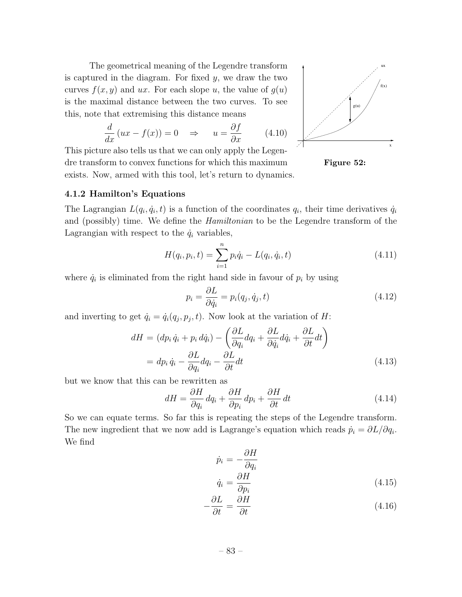The geometrical meaning of the Legendre transform is captured in the diagram. For fixed *y*, we draw the two curves  $f(x, y)$  and *ux*. For each slope *u*, the value of  $g(u)$ is the maximal distance between the two curves. To see this, note that extremising this distance means

$$
\frac{d}{dx}(ux - f(x)) = 0 \quad \Rightarrow \quad u = \frac{\partial f}{\partial x} \tag{4.10}
$$

This picture also tells us that we can only apply the Legendre transform to convex functions for which this maximum exists. Now, armed with this tool, let's return to dynamics.



Figure 52:

### 4.1.2 Hamilton's Equations

The Lagrangian  $L(q_i, \dot{q}_i, t)$  is a function of the coordinates  $q_i$ , their time derivatives  $\dot{q}_i$ and (possibly) time. We define the *Hamiltonian* to be the Legendre transform of the Lagrangian with respect to the  $\dot{q}_i$  variables,

$$
H(q_i, p_i, t) = \sum_{i=1}^{n} p_i \dot{q}_i - L(q_i, \dot{q}_i, t)
$$
\n(4.11)

where  $\dot{q}_i$  is eliminated from the right hand side in favour of  $p_i$  by using

$$
p_i = \frac{\partial L}{\partial \dot{q}_i} = p_i(q_j, \dot{q}_j, t)
$$
\n(4.12)

and inverting to get  $\dot{q}_i = \dot{q}_i(q_j, p_j, t)$ . Now look at the variation of *H*:

$$
dH = (dp_i \dot{q}_i + p_i d\dot{q}_i) - \left(\frac{\partial L}{\partial q_i} dq_i + \frac{\partial L}{\partial \dot{q}_i} d\dot{q}_i + \frac{\partial L}{\partial t} dt\right)
$$
  
=  $dp_i \dot{q}_i - \frac{\partial L}{\partial q_i} dq_i - \frac{\partial L}{\partial t} dt$  (4.13)

but we know that this can be rewritten as

$$
dH = \frac{\partial H}{\partial q_i} dq_i + \frac{\partial H}{\partial p_i} dp_i + \frac{\partial H}{\partial t} dt
$$
\n(4.14)

So we can equate terms. So far this is repeating the steps of the Legendre transform. The new ingredient that we now add is Lagrange's equation which reads  $\dot{p}_i = \partial L / \partial q_i$ . We find

$$
\dot{p}_i = -\frac{\partial H}{\partial q_i}
$$
\n
$$
\dot{q}_i = \frac{\partial H}{\partial q_i} \tag{4.15}
$$

$$
-\frac{\partial L}{\partial t} = \frac{\partial H}{\partial t}
$$
(4.16)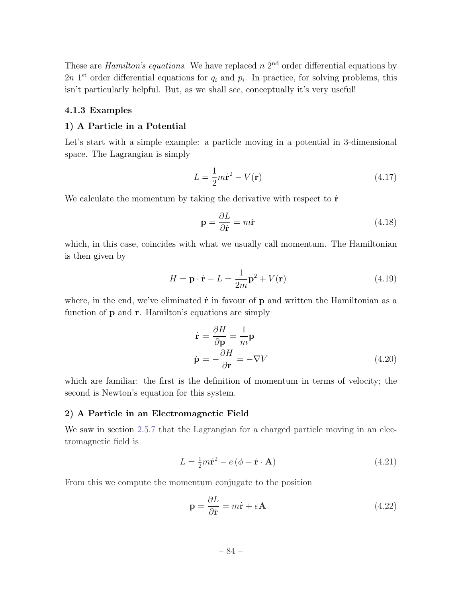These are *Hamilton's equations*. We have replaced  $n 2<sup>nd</sup>$  order differential equations by  $2n$  1<sup>st</sup> order differential equations for  $q_i$  and  $p_i$ . In practice, for solving problems, this isn't particularly helpful. But, as we shall see, conceptually it's very useful!

### 4.1.3 Examples

### 1) A Particle in a Potential

Let's start with a simple example: a particle moving in a potential in 3-dimensional space. The Lagrangian is simply

$$
L = \frac{1}{2}m\dot{\mathbf{r}}^2 - V(\mathbf{r})\tag{4.17}
$$

We calculate the momentum by taking the derivative with respect to  $\dot{\mathbf{r}}$ 

$$
\mathbf{p} = \frac{\partial L}{\partial \dot{\mathbf{r}}} = m\dot{\mathbf{r}} \tag{4.18}
$$

which, in this case, coincides with what we usually call momentum. The Hamiltonian is then given by

$$
H = \mathbf{p} \cdot \dot{\mathbf{r}} - L = \frac{1}{2m} \mathbf{p}^2 + V(\mathbf{r})
$$
\n(4.19)

where, in the end, we've eliminated  $\dot{\mathbf{r}}$  in favour of  $\mathbf{p}$  and written the Hamiltonian as a function of **p** and **r**. Hamilton's equations are simply

$$
\dot{\mathbf{r}} = \frac{\partial H}{\partial \mathbf{p}} = \frac{1}{m} \mathbf{p}
$$
  
\n
$$
\dot{\mathbf{p}} = -\frac{\partial H}{\partial \mathbf{r}} = -\nabla V
$$
\n(4.20)

which are familiar: the first is the definition of momentum in terms of velocity; the second is Newton's equation for this system.

### 2) A Particle in an Electromagnetic Field

We saw in section 2.5.7 that the Lagrangian for a charged particle moving in an electromagnetic field is

$$
L = \frac{1}{2}m\dot{\mathbf{r}}^2 - e(\phi - \dot{\mathbf{r}} \cdot \mathbf{A})\tag{4.21}
$$

From this we compute the momentum conjugate to the position

$$
\mathbf{p} = \frac{\partial L}{\partial \dot{\mathbf{r}}} = m\dot{\mathbf{r}} + e\mathbf{A}
$$
 (4.22)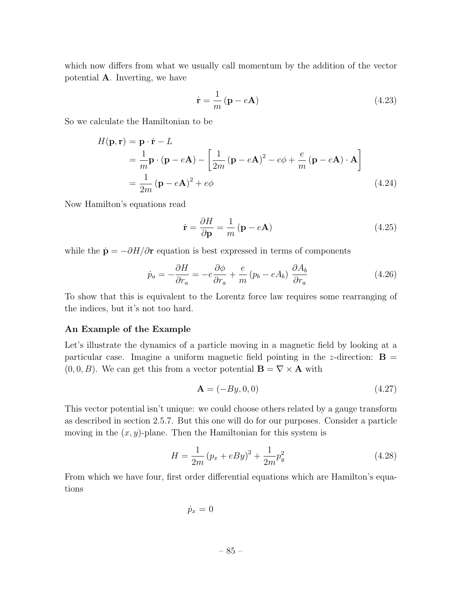which now differs from what we usually call momentum by the addition of the vector potential A. Inverting, we have

$$
\dot{\mathbf{r}} = \frac{1}{m} \left( \mathbf{p} - e\mathbf{A} \right) \tag{4.23}
$$

So we calculate the Hamiltonian to be

$$
H(\mathbf{p}, \mathbf{r}) = \mathbf{p} \cdot \dot{\mathbf{r}} - L
$$
  
=  $\frac{1}{m} \mathbf{p} \cdot (\mathbf{p} - e\mathbf{A}) - \left[ \frac{1}{2m} (\mathbf{p} - e\mathbf{A})^2 - e\phi + \frac{e}{m} (\mathbf{p} - e\mathbf{A}) \cdot \mathbf{A} \right]$   
=  $\frac{1}{2m} (\mathbf{p} - e\mathbf{A})^2 + e\phi$  (4.24)

Now Hamilton's equations read

$$
\dot{\mathbf{r}} = \frac{\partial H}{\partial \mathbf{p}} = \frac{1}{m} \left( \mathbf{p} - e\mathbf{A} \right)
$$
 (4.25)

while the  $\dot{\mathbf{p}} = -\partial H/\partial \mathbf{r}$  equation is best expressed in terms of components

$$
\dot{p}_a = -\frac{\partial H}{\partial r_a} = -e\frac{\partial \phi}{\partial r_a} + \frac{e}{m} \left(p_b - eA_b\right) \frac{\partial A_b}{\partial r_a} \tag{4.26}
$$

To show that this is equivalent to the Lorentz force law requires some rearranging of the indices, but it's not too hard.

### An Example of the Example

Let's illustrate the dynamics of a particle moving in a magnetic field by looking at a particular case. Imagine a uniform magnetic field pointing in the *z*-direction:  $\mathbf{B} =$  $(0,0,B)$ . We can get this from a vector potential  $\mathbf{B} = \nabla \times \mathbf{A}$  with

$$
\mathbf{A} = (-By, 0, 0) \tag{4.27}
$$

This vector potential isn't unique: we could choose others related by a gauge transform as described in section 2.5.7. But this one will do for our purposes. Consider a particle moving in the  $(x, y)$ -plane. Then the Hamiltonian for this system is

$$
H = \frac{1}{2m} (p_x + eBy)^2 + \frac{1}{2m} p_y^2
$$
 (4.28)

From which we have four, first order differential equations which are Hamilton's equations

 $\dot{p}_x = 0$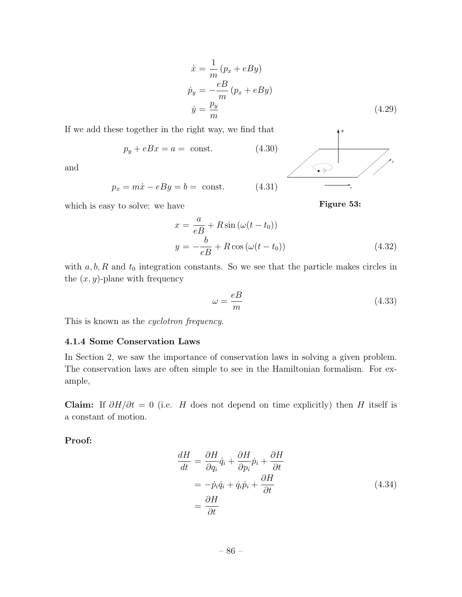$$
\begin{aligned}\n\dot{x} &= \frac{1}{m} (p_x + eBy) \\
\dot{p}_y &= -\frac{eB}{m} (p_x + eBy) \\
\dot{y} &= \frac{p_y}{m}\n\end{aligned} \tag{4.29}
$$

If we add these together in the right way, we find that

$$
p_y + eBx = a = \text{const.} \tag{4.30}
$$

and

$$
p_x = m\dot{x} - eBy = b = \text{const.} \tag{4.31}
$$

which is easy to solve: we have

$$
x = \frac{a}{eB} + R\sin(\omega(t - t_0))
$$
  

$$
y = -\frac{b}{eB} + R\cos(\omega(t - t_0))
$$
 (4.32)

with  $a, b, R$  and  $t_0$  integration constants. So we see that the particle makes circles in the  $(x, y)$ -plane with frequency

$$
\omega = \frac{eB}{m} \tag{4.33}
$$

x

Figure 53:

 $\overline{\mathbb{Q}}$ 

B

y

This is known as the *cyclotron frequency*.

### 4.1.4 Some Conservation Laws

In Section 2, we saw the importance of conservation laws in solving a given problem. The conservation laws are often simple to see in the Hamiltonian formalism. For example,

Claim: If  $\partial H/\partial t = 0$  (i.e. *H* does not depend on time explicitly) then *H* itself is a constant of motion.

# Proof:

$$
\frac{dH}{dt} = \frac{\partial H}{\partial q_i} \dot{q}_i + \frac{\partial H}{\partial p_i} \dot{p}_i + \frac{\partial H}{\partial t}
$$
\n
$$
= -\dot{p}_i \dot{q}_i + \dot{q}_i \dot{p}_i + \frac{\partial H}{\partial t}
$$
\n
$$
= \frac{\partial H}{\partial t}
$$
\n(4.34)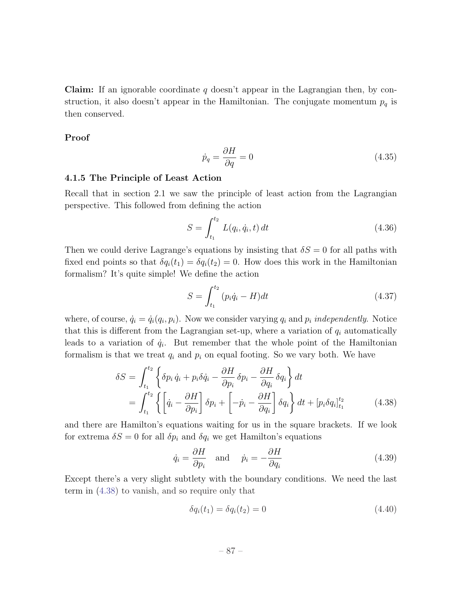Claim: If an ignorable coordinate *q* doesn't appear in the Lagrangian then, by construction, it also doesn't appear in the Hamiltonian. The conjugate momentum  $p_q$  is then conserved.

Proof

$$
\dot{p}_q = \frac{\partial H}{\partial q} = 0\tag{4.35}
$$

## 4.1.5 The Principle of Least Action

Recall that in section 2.1 we saw the principle of least action from the Lagrangian perspective. This followed from defining the action

$$
S = \int_{t_1}^{t_2} L(q_i, \dot{q}_i, t) dt
$$
 (4.36)

Then we could derive Lagrange's equations by insisting that  $\delta S = 0$  for all paths with fixed end points so that  $\delta q_i(t_1) = \delta q_i(t_2) = 0$ . How does this work in the Hamiltonian formalism? It's quite simple! We define the action

$$
S = \int_{t_1}^{t_2} (p_i \dot{q}_i - H) dt
$$
 (4.37)

where, of course,  $\dot{q}_i = \dot{q}_i(q_i, p_i)$ . Now we consider varying  $q_i$  and  $p_i$  *independently*. Notice that this is different from the Lagrangian set-up, where a variation of  $q_i$  automatically leads to a variation of  $\dot{q}_i$ . But remember that the whole point of the Hamiltonian formalism is that we treat  $q_i$  and  $p_i$  on equal footing. So we vary both. We have

$$
\delta S = \int_{t_1}^{t_2} \left\{ \delta p_i \dot{q}_i + p_i \delta \dot{q}_i - \frac{\partial H}{\partial p_i} \delta p_i - \frac{\partial H}{\partial q_i} \delta q_i \right\} dt
$$
  
= 
$$
\int_{t_1}^{t_2} \left\{ \left[ \dot{q}_i - \frac{\partial H}{\partial p_i} \right] \delta p_i + \left[ -\dot{p}_i - \frac{\partial H}{\partial q_i} \right] \delta q_i \right\} dt + \left[ p_i \delta q_i \right]_{t_1}^{t_2}
$$
(4.38)

and there are Hamilton's equations waiting for us in the square brackets. If we look for extrema  $\delta S = 0$  for all  $\delta p_i$  and  $\delta q_i$  we get Hamilton's equations

$$
\dot{q}_i = \frac{\partial H}{\partial p_i} \quad \text{and} \quad \dot{p}_i = -\frac{\partial H}{\partial q_i} \tag{4.39}
$$

Except there's a very slight subtlety with the boundary conditions. We need the last term in (4.38) to vanish, and so require only that

$$
\delta q_i(t_1) = \delta q_i(t_2) = 0 \tag{4.40}
$$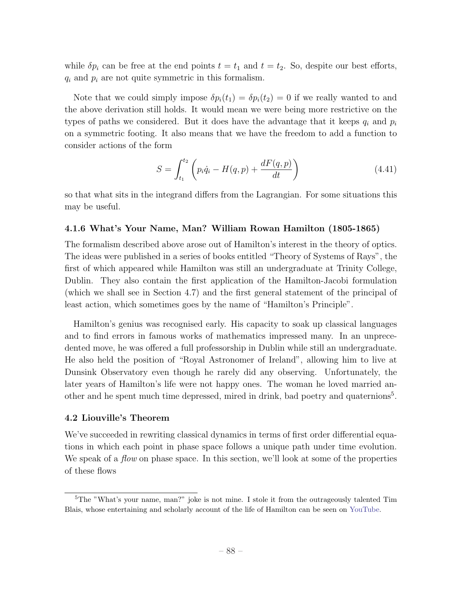while  $\delta p_i$  can be free at the end points  $t = t_1$  and  $t = t_2$ . So, despite our best efforts, *q<sup>i</sup>* and *p<sup>i</sup>* are not quite symmetric in this formalism.

Note that we could simply impose  $\delta p_i(t_1) = \delta p_i(t_2) = 0$  if we really wanted to and the above derivation still holds. It would mean we were being more restrictive on the types of paths we considered. But it does have the advantage that it keeps  $q_i$  and  $p_i$ on a symmetric footing. It also means that we have the freedom to add a function to consider actions of the form

$$
S = \int_{t_1}^{t_2} \left( p_i \dot{q}_i - H(q, p) + \frac{dF(q, p)}{dt} \right)
$$
 (4.41)

so that what sits in the integrand differs from the Lagrangian. For some situations this may be useful.

### 4.1.6 What's Your Name, Man? William Rowan Hamilton (1805-1865)

The formalism described above arose out of Hamilton's interest in the theory of optics. The ideas were published in a series of books entitled "Theory of Systems of Rays", the first of which appeared while Hamilton was still an undergraduate at Trinity College, Dublin. They also contain the first application of the Hamilton-Jacobi formulation (which we shall see in Section 4.7) and the first general statement of the principal of least action, which sometimes goes by the name of "Hamilton's Principle".

Hamilton's genius was recognised early. His capacity to soak up classical languages and to find errors in famous works of mathematics impressed many. In an unprecedented move, he was offered a full professorship in Dublin while still an undergraduate. He also held the position of "Royal Astronomer of Ireland", allowing him to live at Dunsink Observatory even though he rarely did any observing. Unfortunately, the later years of Hamilton's life were not happy ones. The woman he loved married another and he spent much time depressed, mired in drink, bad poetry and quaternions<sup>5</sup>.

### 4.2 Liouville's Theorem

We've succeeded in rewriting classical dynamics in terms of first order differential equations in which each point in phase space follows a unique path under time evolution. We speak of a *flow* on phase space. In this section, we'll look at some of the properties of these flows

<sup>&</sup>lt;sup>5</sup>The "What's your name, man?" joke is not mine. I stole it from the outrageously talented Tim Blais, whose entertaining and scholarly account of the life of Hamilton can be seen on YouTube.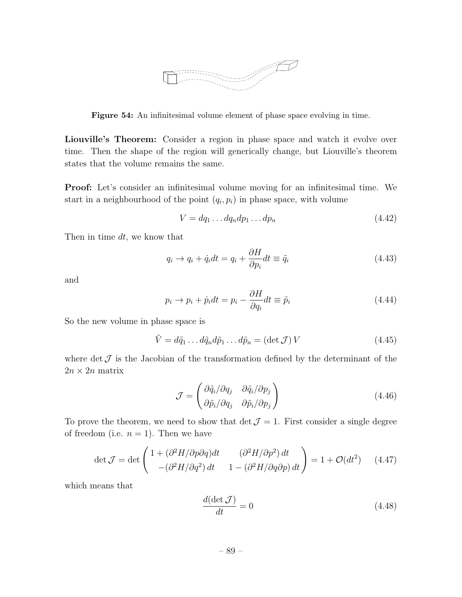

Figure 54: An infinitesimal volume element of phase space evolving in time.

Liouville's Theorem: Consider a region in phase space and watch it evolve over time. Then the shape of the region will generically change, but Liouville's theorem states that the volume remains the same.

Proof: Let's consider an infinitesimal volume moving for an infinitesimal time. We start in a neighbourhood of the point  $(q_i, p_i)$  in phase space, with volume

$$
V = dq_1 \dots dq_n dp_1 \dots dp_n \tag{4.42}
$$

Then in time *dt*, we know that

$$
q_i \to q_i + \dot{q}_i dt = q_i + \frac{\partial H}{\partial p_i} dt \equiv \tilde{q}_i
$$
\n(4.43)

and

$$
p_i \to p_i + \dot{p}_i dt = p_i - \frac{\partial H}{\partial q_i} dt \equiv \tilde{p}_i \tag{4.44}
$$

So the new volume in phase space is

$$
\tilde{V} = d\tilde{q}_1 \dots d\tilde{q}_n d\tilde{p}_1 \dots d\tilde{p}_n = (\det \mathcal{J}) V \qquad (4.45)
$$

where det  $\mathcal J$  is the Jacobian of the transformation defined by the determinant of the  $2n \times 2n$  matrix

$$
\mathcal{J} = \begin{pmatrix} \partial \tilde{q}_i / \partial q_j & \partial \tilde{q}_i / \partial p_j \\ \partial \tilde{p}_i / \partial q_j & \partial \tilde{p}_i / \partial p_j \end{pmatrix}
$$
(4.46)

To prove the theorem, we need to show that  $\det \mathcal{J} = 1$ . First consider a single degree of freedom (i.e.  $n = 1$ ). Then we have

$$
\det \mathcal{J} = \det \begin{pmatrix} 1 + (\partial^2 H/\partial p \partial q) dt & (\partial^2 H/\partial p^2) dt \\ -(\partial^2 H/\partial q^2) dt & 1 - (\partial^2 H/\partial q \partial p) dt \end{pmatrix} = 1 + \mathcal{O}(dt^2) \quad (4.47)
$$

which means that

$$
\frac{d(\det \mathcal{J})}{dt} = 0\tag{4.48}
$$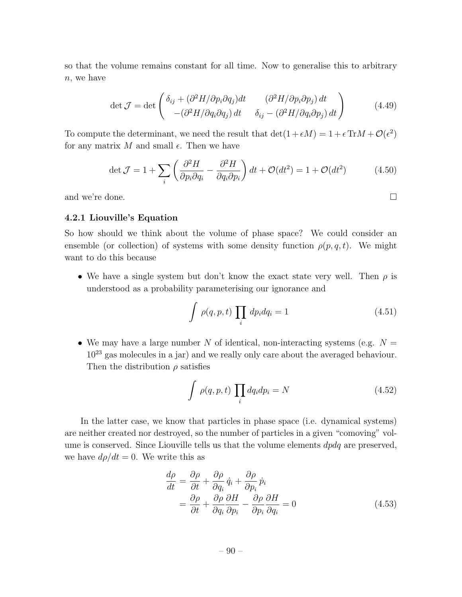so that the volume remains constant for all time. Now to generalise this to arbitrary *n*, we have

$$
\det \mathcal{J} = \det \begin{pmatrix} \delta_{ij} + (\partial^2 H/\partial p_i \partial q_j) dt & (\partial^2 H/\partial p_i \partial p_j) dt \\ -(\partial^2 H/\partial q_i \partial q_j) dt & \delta_{ij} - (\partial^2 H/\partial q_i \partial p_j) dt \end{pmatrix}
$$
(4.49)

To compute the determinant, we need the result that  $\det(1 + \epsilon M) = 1 + \epsilon \operatorname{Tr} M + \mathcal{O}(\epsilon^2)$ for any matrix  $M$  and small  $\epsilon$ . Then we have

$$
\det \mathcal{J} = 1 + \sum_{i} \left( \frac{\partial^2 H}{\partial p_i \partial q_i} - \frac{\partial^2 H}{\partial q_i \partial p_i} \right) dt + \mathcal{O}(dt^2) = 1 + \mathcal{O}(dt^2) \tag{4.50}
$$

and we're done.  $\Box$ 

### 4.2.1 Liouville's Equation

So how should we think about the volume of phase space? We could consider an ensemble (or collection) of systems with some density function  $\rho(p,q,t)$ . We might want to do this because

• We have a single system but don't know the exact state very well. Then  $\rho$  is understood as a probability parameterising our ignorance and

$$
\int \rho(q, p, t) \prod_{i} dp_{i} dq_{i} = 1 \qquad (4.51)
$$

• We may have a large number *N* of identical, non-interacting systems (e.g.  $N =$ 10<sup>23</sup> gas molecules in a jar) and we really only care about the averaged behaviour. Then the distribution  $\rho$  satisfies

$$
\int \rho(q, p, t) \prod_{i} dq_{i} dp_{i} = N \qquad (4.52)
$$

In the latter case, we know that particles in phase space (i.e. dynamical systems) are neither created nor destroyed, so the number of particles in a given "comoving" volume is conserved. Since Liouville tells us that the volume elements *dpdq* are preserved, we have  $d\rho/dt = 0$ . We write this as

$$
\frac{d\rho}{dt} = \frac{\partial \rho}{\partial t} + \frac{\partial \rho}{\partial q_i} \dot{q}_i + \frac{\partial \rho}{\partial p_i} \dot{p}_i
$$
\n
$$
= \frac{\partial \rho}{\partial t} + \frac{\partial \rho}{\partial q_i} \frac{\partial H}{\partial p_i} - \frac{\partial \rho}{\partial p_i} \frac{\partial H}{\partial q_i} = 0
$$
\n(4.53)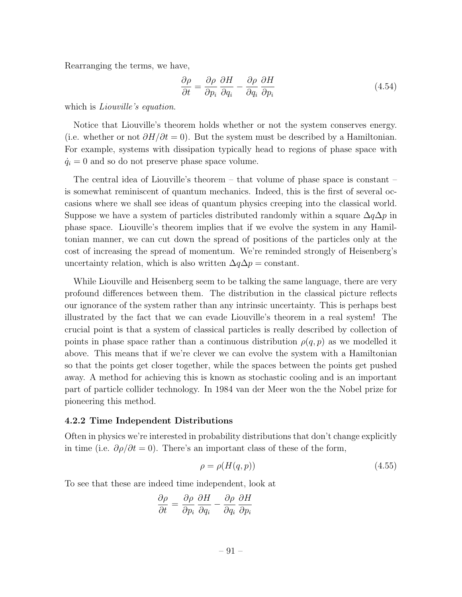Rearranging the terms, we have,

$$
\frac{\partial \rho}{\partial t} = \frac{\partial \rho}{\partial p_i} \frac{\partial H}{\partial q_i} - \frac{\partial \rho}{\partial q_i} \frac{\partial H}{\partial p_i}
$$
(4.54)

which is *Liouville's equation*.

Notice that Liouville's theorem holds whether or not the system conserves energy. (i.e. whether or not  $\partial H/\partial t = 0$ ). But the system must be described by a Hamiltonian. For example, systems with dissipation typically head to regions of phase space with  $\dot{q}_i = 0$  and so do not preserve phase space volume.

The central idea of Liouville's theorem – that volume of phase space is constant – is somewhat reminiscent of quantum mechanics. Indeed, this is the first of several occasions where we shall see ideas of quantum physics creeping into the classical world. Suppose we have a system of particles distributed randomly within a square  $\Delta q \Delta p$  in phase space. Liouville's theorem implies that if we evolve the system in any Hamiltonian manner, we can cut down the spread of positions of the particles only at the cost of increasing the spread of momentum. We're reminded strongly of Heisenberg's uncertainty relation, which is also written  $\Delta q \Delta p = \text{constant}$ .

While Liouville and Heisenberg seem to be talking the same language, there are very profound differences between them. The distribution in the classical picture reflects our ignorance of the system rather than any intrinsic uncertainty. This is perhaps best illustrated by the fact that we can evade Liouville's theorem in a real system! The crucial point is that a system of classical particles is really described by collection of points in phase space rather than a continuous distribution  $\rho(q, p)$  as we modelled it above. This means that if we're clever we can evolve the system with a Hamiltonian so that the points get closer together, while the spaces between the points get pushed away. A method for achieving this is known as stochastic cooling and is an important part of particle collider technology. In 1984 van der Meer won the the Nobel prize for pioneering this method.

### 4.2.2 Time Independent Distributions

Often in physics we're interested in probability distributions that don't change explicitly in time (i.e.  $\partial \rho / \partial t = 0$ ). There's an important class of these of the form,

$$
\rho = \rho(H(q, p))\tag{4.55}
$$

To see that these are indeed time independent, look at

$$
\frac{\partial \rho}{\partial t} = \frac{\partial \rho}{\partial p_i} \frac{\partial H}{\partial q_i} - \frac{\partial \rho}{\partial q_i} \frac{\partial H}{\partial p_i}
$$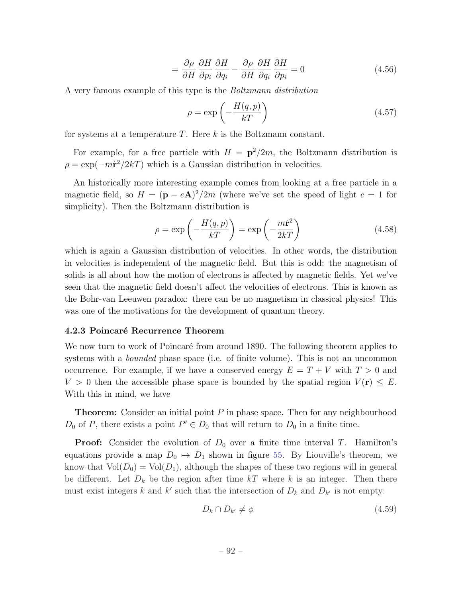$$
= \frac{\partial \rho}{\partial H} \frac{\partial H}{\partial p_i} \frac{\partial H}{\partial q_i} - \frac{\partial \rho}{\partial H} \frac{\partial H}{\partial q_i} \frac{\partial H}{\partial p_i} = 0
$$
(4.56)

A very famous example of this type is the *Boltzmann distribution*

$$
\rho = \exp\left(-\frac{H(q, p)}{kT}\right) \tag{4.57}
$$

for systems at a temperature *T*. Here *k* is the Boltzmann constant.

For example, for a free particle with  $H = \frac{p^2}{2m}$ , the Boltzmann distribution is  $\rho = \exp(-m\dot{r}^2/2kT)$  which is a Gaussian distribution in velocities.

An historically more interesting example comes from looking at a free particle in a magnetic field, so  $H = (\mathbf{p} - e\mathbf{A})^2/2m$  (where we've set the speed of light  $c = 1$  for simplicity). Then the Boltzmann distribution is

$$
\rho = \exp\left(-\frac{H(q, p)}{kT}\right) = \exp\left(-\frac{m\dot{\mathbf{r}}^2}{2kT}\right) \tag{4.58}
$$

which is again a Gaussian distribution of velocities. In other words, the distribution in velocities is independent of the magnetic field. But this is odd: the magnetism of solids is all about how the motion of electrons is affected by magnetic fields. Yet we've seen that the magnetic field doesn't affect the velocities of electrons. This is known as the Bohr-van Leeuwen paradox: there can be no magnetism in classical physics! This was one of the motivations for the development of quantum theory.

#### 4.2.3 Poincaré Recurrence Theorem

We now turn to work of Poincaré from around 1890. The following theorem applies to systems with a *bounded* phase space (i.e. of finite volume). This is not an uncommon occurrence. For example, if we have a conserved energy  $E = T + V$  with  $T > 0$  and  $V > 0$  then the accessible phase space is bounded by the spatial region  $V(\mathbf{r}) \leq E$ . With this in mind, we have

**Theorem:** Consider an initial point P in phase space. Then for any neighbourhood  $D_0$  of *P*, there exists a point  $P' \in D_0$  that will return to  $D_0$  in a finite time.

**Proof:** Consider the evolution of  $D_0$  over a finite time interval *T*. Hamilton's equations provide a map  $D_0 \mapsto D_1$  shown in figure 55. By Liouville's theorem, we know that  $Vol(D_0) = Vol(D_1)$ , although the shapes of these two regions will in general be different. Let  $D_k$  be the region after time  $kT$  where k is an integer. Then there must exist integers k and k' such that the intersection of  $D_k$  and  $D_{k'}$  is not empty:

$$
D_k \cap D_{k'} \neq \phi \tag{4.59}
$$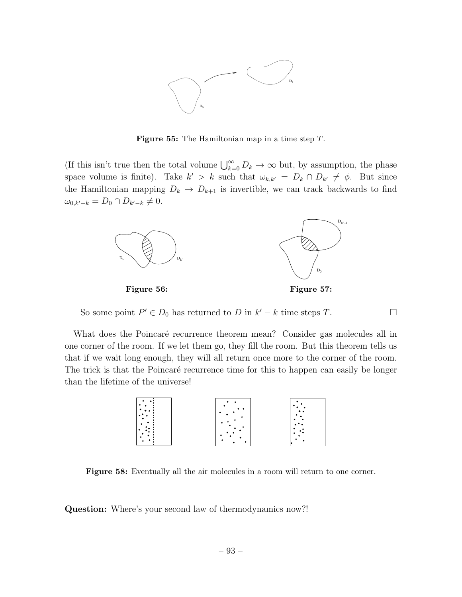

Figure 55: The Hamiltonian map in a time step *T*.

(If this isn't true then the total volume  $\bigcup_{k=0}^{\infty} D_k \to \infty$  but, by assumption, the phase space volume is finite). Take  $k' > k$  such that  $\omega_{k,k'} = D_k \cap D_{k'} \neq \emptyset$ . But since the Hamiltonian mapping  $D_k \to D_{k+1}$  is invertible, we can track backwards to find  $\omega_{0,k'-k} = D_0 \cap D_{k'-k} \neq 0.$ 



So some point  $P' \in D_0$  has returned to *D* in  $k' - k$  time steps *T*.

What does the Poincaré recurrence theorem mean? Consider gas molecules all in one corner of the room. If we let them go, they fill the room. But this theorem tells us that if we wait long enough, they will all return once more to the corner of the room. The trick is that the Poincaré recurrence time for this to happen can easily be longer than the lifetime of the universe!



Figure 58: Eventually all the air molecules in a room will return to one corner.

Question: Where's your second law of thermodynamics now?!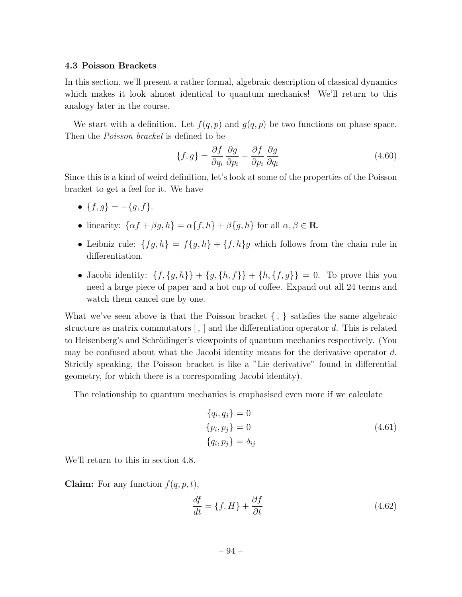#### 4.3 Poisson Brackets

In this section, we'll present a rather formal, algebraic description of classical dynamics which makes it look almost identical to quantum mechanics! We'll return to this analogy later in the course.

We start with a definition. Let  $f(q, p)$  and  $g(q, p)$  be two functions on phase space. Then the *Poisson bracket* is defined to be

$$
\{f,g\} = \frac{\partial f}{\partial q_i} \frac{\partial g}{\partial p_i} - \frac{\partial f}{\partial p_i} \frac{\partial g}{\partial q_i}
$$
\n(4.60)

Since this is a kind of weird definition, let's look at some of the properties of the Poisson bracket to get a feel for it. We have

- ${f, g} = -{g, f}.$
- linearity:  $\{\alpha f + \beta g, h\} = \alpha \{f, h\} + \beta \{g, h\}$  for all  $\alpha, \beta \in \mathbb{R}$ .
- Leibniz rule:  ${fg,h} = f{g,h} + {f,h}g$  which follows from the chain rule in differentiation.
- Jacobi identity:  $\{f, \{g, h\}\} + \{g, \{h, f\}\} + \{h, \{f, g\}\} = 0$ . To prove this you need a large piece of paper and a hot cup of coffee. Expand out all 24 terms and watch them cancel one by one.

What we've seen above is that the Poisson bracket *{ , }* satisfies the same algebraic structure as matrix commutators  $\vert \cdot \vert$  and the differentiation operator *d*. This is related to Heisenberg's and Schrödinger's viewpoints of quantum mechanics respectively. (You may be confused about what the Jacobi identity means for the derivative operator *d*. Strictly speaking, the Poisson bracket is like a "Lie derivative" found in differential geometry, for which there is a corresponding Jacobi identity).

The relationship to quantum mechanics is emphasised even more if we calculate

$$
\{q_i, q_j\} = 0
$$
  

$$
\{p_i, p_j\} = 0
$$
  

$$
\{q_i, p_j\} = \delta_{ij}
$$
 (4.61)

We'll return to this in section 4.8.

**Claim:** For any function  $f(q, p, t)$ ,

$$
\frac{df}{dt} = \{f, H\} + \frac{\partial f}{\partial t}
$$
\n(4.62)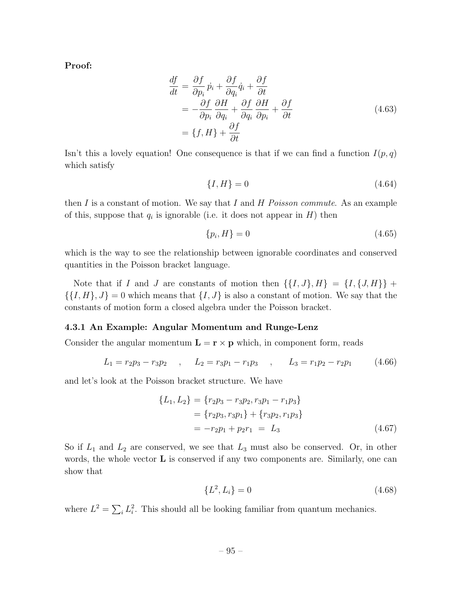Proof:

$$
\frac{df}{dt} = \frac{\partial f}{\partial p_i} \dot{p}_i + \frac{\partial f}{\partial q_i} \dot{q}_i + \frac{\partial f}{\partial t} \n= -\frac{\partial f}{\partial p_i} \frac{\partial H}{\partial q_i} + \frac{\partial f}{\partial q_i} \frac{\partial H}{\partial p_i} + \frac{\partial f}{\partial t} \n= \{f, H\} + \frac{\partial f}{\partial t}
$$
\n(4.63)

Isn't this a lovely equation! One consequence is that if we can find a function  $I(p,q)$ which satisfy

$$
\{I, H\} = 0\tag{4.64}
$$

then *I* is a constant of motion. We say that *I* and *H Poisson commute*. As an example of this, suppose that  $q_i$  is ignorable (i.e. it does not appear in  $H$ ) then

$$
\{p_i, H\} = 0\tag{4.65}
$$

which is the way to see the relationship between ignorable coordinates and conserved quantities in the Poisson bracket language.

Note that if *I* and *J* are constants of motion then  $\{\{I, J\}, H\} = \{I, \{J, H\}\}\$  $\{\{I, H\}, J\} = 0$  which means that  $\{I, J\}$  is also a constant of motion. We say that the constants of motion form a closed algebra under the Poisson bracket.

### 4.3.1 An Example: Angular Momentum and Runge-Lenz

Consider the angular momentum  $\mathbf{L} = \mathbf{r} \times \mathbf{p}$  which, in component form, reads

$$
L_1 = r_2 p_3 - r_3 p_2 \quad , \quad L_2 = r_3 p_1 - r_1 p_3 \quad , \quad L_3 = r_1 p_2 - r_2 p_1 \quad (4.66)
$$

and let's look at the Poisson bracket structure. We have

$$
\{L_1, L_2\} = \{r_2p_3 - r_3p_2, r_3p_1 - r_1p_3\}
$$
  
=  $\{r_2p_3, r_3p_1\} + \{r_3p_2, r_1p_3\}$   
=  $-r_2p_1 + p_2r_1 = L_3$  (4.67)

So if *L*<sup>1</sup> and *L*<sup>2</sup> are conserved, we see that *L*<sup>3</sup> must also be conserved. Or, in other words, the whole vector  $\bf{L}$  is conserved if any two components are. Similarly, one can show that

$$
\{L^2, L_i\} = 0\tag{4.68}
$$

where  $L^2 = \sum_i L_i^2$ . This should all be looking familiar from quantum mechanics.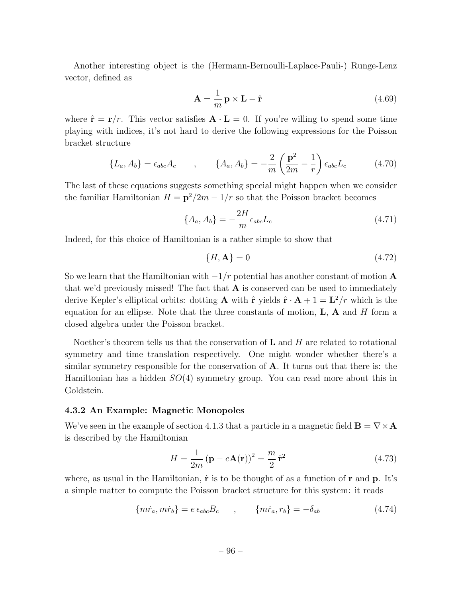Another interesting object is the (Hermann-Bernoulli-Laplace-Pauli-) Runge-Lenz vector, defined as

$$
\mathbf{A} = \frac{1}{m} \mathbf{p} \times \mathbf{L} - \hat{\mathbf{r}} \tag{4.69}
$$

where  $\hat{\mathbf{r}} = \mathbf{r}/r$ . This vector satisfies  $\mathbf{A} \cdot \mathbf{L} = 0$ . If you're willing to spend some time playing with indices, it's not hard to derive the following expressions for the Poisson bracket structure

$$
\{L_a, A_b\} = \epsilon_{abc} A_c \qquad , \qquad \{A_a, A_b\} = -\frac{2}{m} \left(\frac{\mathbf{p}^2}{2m} - \frac{1}{r}\right) \epsilon_{abc} L_c \qquad (4.70)
$$

The last of these equations suggests something special might happen when we consider the familiar Hamiltonian  $H = \frac{p^2}{2m} - \frac{1}{r}$  so that the Poisson bracket becomes

$$
\{A_a, A_b\} = -\frac{2H}{m}\epsilon_{abc}L_c
$$
\n(4.71)

Indeed, for this choice of Hamiltonian is a rather simple to show that

$$
\{H, \mathbf{A}\} = 0\tag{4.72}
$$

So we learn that the Hamiltonian with  $-1/r$  potential has another constant of motion  $\bf{A}$ that we'd previously missed! The fact that  $A$  is conserved can be used to immediately derive Kepler's elliptical orbits: dotting **A** with  $\hat{\mathbf{r}}$  yields  $\hat{\mathbf{r}} \cdot \mathbf{A} + 1 = \mathbf{L}^2/r$  which is the equation for an ellipse. Note that the three constants of motion, L, A and *H* form a closed algebra under the Poisson bracket.

Noether's theorem tells us that the conservation of L and *H* are related to rotational symmetry and time translation respectively. One might wonder whether there's a similar symmetry responsible for the conservation of A. It turns out that there is: the Hamiltonian has a hidden *SO*(4) symmetry group. You can read more about this in Goldstein.

### 4.3.2 An Example: Magnetic Monopoles

We've seen in the example of section 4.1.3 that a particle in a magnetic field  $\mathbf{B} = \nabla \times \mathbf{A}$ is described by the Hamiltonian

$$
H = \frac{1}{2m} \left( \mathbf{p} - e\mathbf{A}(\mathbf{r}) \right)^2 = \frac{m}{2} \dot{\mathbf{r}}^2 \tag{4.73}
$$

where, as usual in the Hamiltonian,  $\dot{\mathbf{r}}$  is to be thought of as a function of  $\mathbf{r}$  and  $\mathbf{p}$ . It's a simple matter to compute the Poisson bracket structure for this system: it reads

$$
\{m\dot{r}_a, m\dot{r}_b\} = e\,\epsilon_{abc}B_c \qquad , \qquad \{m\dot{r}_a, r_b\} = -\delta_{ab} \tag{4.74}
$$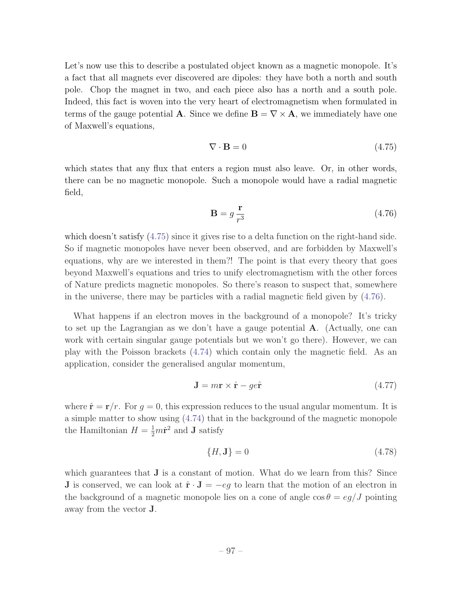Let's now use this to describe a postulated object known as a magnetic monopole. It's a fact that all magnets ever discovered are dipoles: they have both a north and south pole. Chop the magnet in two, and each piece also has a north and a south pole. Indeed, this fact is woven into the very heart of electromagnetism when formulated in terms of the gauge potential **A**. Since we define  $\mathbf{B} = \nabla \times \mathbf{A}$ , we immediately have one of Maxwell's equations,

$$
\nabla \cdot \mathbf{B} = 0 \tag{4.75}
$$

which states that any flux that enters a region must also leave. Or, in other words, there can be no magnetic monopole. Such a monopole would have a radial magnetic field,

$$
\mathbf{B} = g \frac{\mathbf{r}}{r^3} \tag{4.76}
$$

which doesn't satisfy  $(4.75)$  since it gives rise to a delta function on the right-hand side. So if magnetic monopoles have never been observed, and are forbidden by Maxwell's equations, why are we interested in them?! The point is that every theory that goes beyond Maxwell's equations and tries to unify electromagnetism with the other forces of Nature predicts magnetic monopoles. So there's reason to suspect that, somewhere in the universe, there may be particles with a radial magnetic field given by (4.76).

What happens if an electron moves in the background of a monopole? It's tricky to set up the Lagrangian as we don't have a gauge potential A. (Actually, one can work with certain singular gauge potentials but we won't go there). However, we can play with the Poisson brackets (4.74) which contain only the magnetic field. As an application, consider the generalised angular momentum,

$$
\mathbf{J} = m\mathbf{r} \times \dot{\mathbf{r}} - g e \hat{\mathbf{r}} \tag{4.77}
$$

where  $\hat{\mathbf{r}} = \mathbf{r}/r$ . For  $q = 0$ , this expression reduces to the usual angular momentum. It is a simple matter to show using (4.74) that in the background of the magnetic monopole the Hamiltonian  $H = \frac{1}{2}m\dot{\mathbf{r}}^2$  and **J** satisfy

$$
\{H, \mathbf{J}\} = 0\tag{4.78}
$$

which guarantees that  $J$  is a constant of motion. What do we learn from this? Since **J** is conserved, we can look at  $\hat{\mathbf{r}} \cdot \mathbf{J} = -eg$  to learn that the motion of an electron in the background of a magnetic monopole lies on a cone of angle  $\cos \theta = \frac{eq}{J}$  pointing away from the vector J.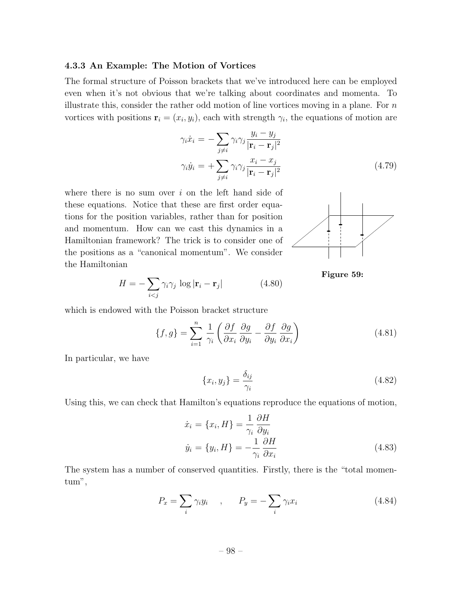#### 4.3.3 An Example: The Motion of Vortices

The formal structure of Poisson brackets that we've introduced here can be employed even when it's not obvious that we're talking about coordinates and momenta. To illustrate this, consider the rather odd motion of line vortices moving in a plane. For *n* vortices with positions  $\mathbf{r}_i = (x_i, y_i)$ , each with strength  $\gamma_i$ , the equations of motion are

$$
\gamma_i \dot{x}_i = -\sum_{j \neq i} \gamma_i \gamma_j \frac{y_i - y_j}{|\mathbf{r}_i - \mathbf{r}_j|^2}
$$

$$
\gamma_i \dot{y}_i = +\sum_{j \neq i} \gamma_i \gamma_j \frac{x_i - x_j}{|\mathbf{r}_i - \mathbf{r}_j|^2}
$$
(4.79)

where there is no sum over *i* on the left hand side of these equations. Notice that these are first order equations for the position variables, rather than for position and momentum. How can we cast this dynamics in a Hamiltonian framework? The trick is to consider one of the positions as a "canonical momentum". We consider the Hamiltonian

$$
H = -\sum_{i < j} \gamma_i \gamma_j \, \log |\mathbf{r}_i - \mathbf{r}_j| \tag{4.80}
$$



Figure 59:

which is endowed with the Poisson bracket structure

$$
\{f,g\} = \sum_{i=1}^{n} \frac{1}{\gamma_i} \left( \frac{\partial f}{\partial x_i} \frac{\partial g}{\partial y_i} - \frac{\partial f}{\partial y_i} \frac{\partial g}{\partial x_i} \right)
$$
(4.81)

In particular, we have

$$
\{x_i, y_j\} = \frac{\delta_{ij}}{\gamma_i} \tag{4.82}
$$

Using this, we can check that Hamilton's equations reproduce the equations of motion,

$$
\begin{aligned}\n\dot{x}_i &= \{x_i, H\} = \frac{1}{\gamma_i} \frac{\partial H}{\partial y_i} \\
\dot{y}_i &= \{y_i, H\} = -\frac{1}{\gamma_i} \frac{\partial H}{\partial x_i}\n\end{aligned} \tag{4.83}
$$

The system has a number of conserved quantities. Firstly, there is the "total momentum",

$$
P_x = \sum_i \gamma_i y_i \qquad , \qquad P_y = -\sum_i \gamma_i x_i \tag{4.84}
$$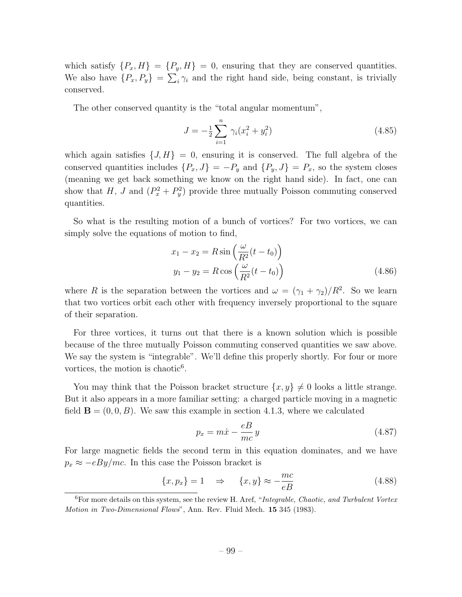which satisfy  $\{P_x, H\} = \{P_y, H\} = 0$ , ensuring that they are conserved quantities. We also have  $\{P_x, P_y\} = \sum_i \gamma_i$  and the right hand side, being constant, is trivially conserved.

The other conserved quantity is the "total angular momentum",

$$
J = -\frac{1}{2} \sum_{i=1}^{n} \gamma_i (x_i^2 + y_i^2)
$$
 (4.85)

which again satisfies  $\{J, H\} = 0$ , ensuring it is conserved. The full algebra of the conserved quantities includes  $\{P_x, J\} = -P_y$  and  $\{P_y, J\} = P_x$ , so the system closes (meaning we get back something we know on the right hand side). In fact, one can show that *H*, *J* and  $(P_x^2 + P_y^2)$  provide three mutually Poisson commuting conserved quantities.

So what is the resulting motion of a bunch of vortices? For two vortices, we can simply solve the equations of motion to find,

$$
x_1 - x_2 = R \sin\left(\frac{\omega}{R^2}(t - t_0)\right)
$$
  

$$
y_1 - y_2 = R \cos\left(\frac{\omega}{R^2}(t - t_0)\right)
$$
 (4.86)

where *R* is the separation between the vortices and  $\omega = (\gamma_1 + \gamma_2)/R^2$ . So we learn that two vortices orbit each other with frequency inversely proportional to the square of their separation.

For three vortices, it turns out that there is a known solution which is possible because of the three mutually Poisson commuting conserved quantities we saw above. We say the system is "integrable". We'll define this properly shortly. For four or more vortices, the motion is chaotic $6$ .

You may think that the Poisson bracket structure  $\{x, y\} \neq 0$  looks a little strange. But it also appears in a more familiar setting: a charged particle moving in a magnetic field  $\mathbf{B} = (0, 0, B)$ . We saw this example in section 4.1.3, where we calculated

$$
p_x = m\dot{x} - \frac{eB}{mc}y\tag{4.87}
$$

For large magnetic fields the second term in this equation dominates, and we have  $p_x \approx -eBy/mc$ . In this case the Poisson bracket is

$$
\{x, p_x\} = 1 \quad \Rightarrow \quad \{x, y\} \approx -\frac{mc}{eB} \tag{4.88}
$$

<sup>6</sup>For more details on this system, see the review H. Aref, "*Integrable, Chaotic, and Turbulent Vortex Motion in Two-Dimensional Flows*", Ann. Rev. Fluid Mech. 15 345 (1983).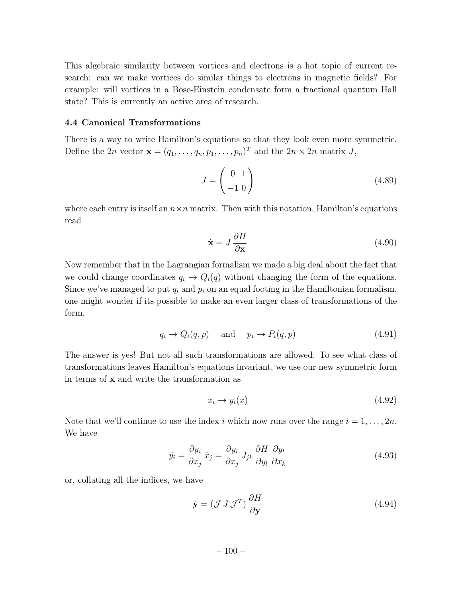This algebraic similarity between vortices and electrons is a hot topic of current research: can we make vortices do similar things to electrons in magnetic fields? For example: will vortices in a Bose-Einstein condensate form a fractional quantum Hall state? This is currently an active area of research.

### 4.4 Canonical Transformations

There is a way to write Hamilton's equations so that they look even more symmetric. Define the 2*n* vector  $\mathbf{x} = (q_1, \ldots, q_n, p_1, \ldots, p_n)^T$  and the 2*n* × 2*n* matrix *J*,

$$
J = \begin{pmatrix} 0 & 1 \\ -1 & 0 \end{pmatrix} \tag{4.89}
$$

where each entry is itself an  $n \times n$  matrix. Then with this notation, Hamilton's equations read

$$
\dot{\mathbf{x}} = J \frac{\partial H}{\partial \mathbf{x}} \tag{4.90}
$$

Now remember that in the Lagrangian formalism we made a big deal about the fact that we could change coordinates  $q_i \rightarrow Q_i(q)$  without changing the form of the equations. Since we've managed to put  $q_i$  and  $p_i$  on an equal footing in the Hamiltonian formalism, one might wonder if its possible to make an even larger class of transformations of the form,

$$
q_i \to Q_i(q, p) \quad \text{and} \quad p_i \to P_i(q, p) \tag{4.91}
$$

The answer is yes! But not all such transformations are allowed. To see what class of transformations leaves Hamilton's equations invariant, we use our new symmetric form in terms of x and write the transformation as

$$
x_i \to y_i(x) \tag{4.92}
$$

Note that we'll continue to use the index *i* which now runs over the range  $i = 1, \ldots, 2n$ . We have

$$
\dot{y}_i = \frac{\partial y_i}{\partial x_j} \dot{x}_j = \frac{\partial y_i}{\partial x_j} J_{jk} \frac{\partial H}{\partial y_l} \frac{\partial y_l}{\partial x_k}
$$
(4.93)

or, collating all the indices, we have

$$
\dot{\mathbf{y}} = (\mathcal{J} \, \mathcal{J} \, \mathcal{J}^T) \frac{\partial H}{\partial \mathbf{y}} \tag{4.94}
$$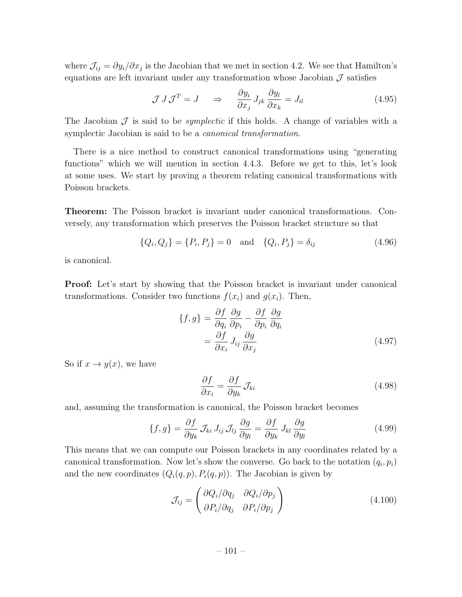where  $\mathcal{J}_{ij} = \partial y_i / \partial x_j$  is the Jacobian that we met in section 4.2. We see that Hamilton's equations are left invariant under any transformation whose Jacobian  $\mathcal J$  satisfies

$$
\mathcal{J} J \mathcal{J}^T = J \quad \Rightarrow \quad \frac{\partial y_i}{\partial x_j} J_{jk} \frac{\partial y_l}{\partial x_k} = J_{il} \tag{4.95}
$$

The Jacobian  $\mathcal J$  is said to be *symplectic* if this holds. A change of variables with a symplectic Jacobian is said to be a *canonical transformation*.

There is a nice method to construct canonical transformations using "generating functions" which we will mention in section 4.4.3. Before we get to this, let's look at some uses. We start by proving a theorem relating canonical transformations with Poisson brackets.

Theorem: The Poisson bracket is invariant under canonical transformations. Conversely, any transformation which preserves the Poisson bracket structure so that

$$
\{Q_i, Q_j\} = \{P_i, P_j\} = 0 \text{ and } \{Q_i, P_j\} = \delta_{ij}
$$
\n(4.96)

is canonical.

Proof: Let's start by showing that the Poisson bracket is invariant under canonical transformations. Consider two functions  $f(x_i)$  and  $g(x_i)$ . Then,

$$
\{f,g\} = \frac{\partial f}{\partial q_i} \frac{\partial g}{\partial p_i} - \frac{\partial f}{\partial p_i} \frac{\partial g}{\partial q_i} \n= \frac{\partial f}{\partial x_i} J_{ij} \frac{\partial g}{\partial x_j}
$$
\n(4.97)

So if  $x \to y(x)$ , we have

$$
\frac{\partial f}{\partial x_i} = \frac{\partial f}{\partial y_k} \mathcal{J}_{ki} \tag{4.98}
$$

and, assuming the transformation is canonical, the Poisson bracket becomes

$$
\{f,g\} = \frac{\partial f}{\partial y_k} \mathcal{J}_{ki} J_{ij} \mathcal{J}_{lj} \frac{\partial g}{\partial y_l} = \frac{\partial f}{\partial y_k} J_{kl} \frac{\partial g}{\partial y_l}
$$
(4.99)

This means that we can compute our Poisson brackets in any coordinates related by a canonical transformation. Now let's show the converse. Go back to the notation  $(q_i, p_i)$ and the new coordinates  $(Q_i(q, p), P_i(q, p))$ . The Jacobian is given by

$$
\mathcal{J}_{ij} = \begin{pmatrix} \partial Q_i / \partial q_j & \partial Q_i / \partial p_j \\ \partial P_i / \partial q_j & \partial P_i / \partial p_j \end{pmatrix}
$$
(4.100)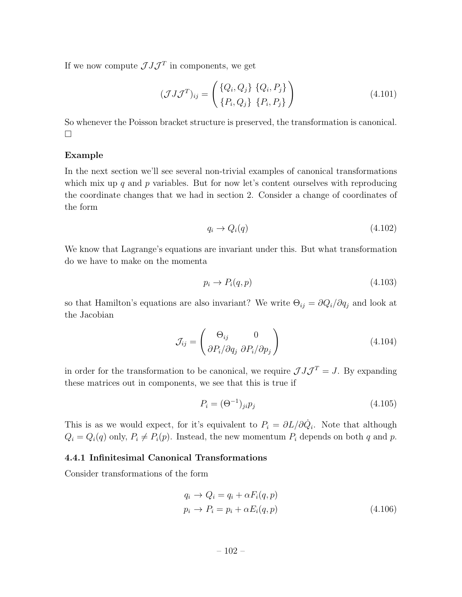If we now compute  $\mathcal{J} J \mathcal{J}^T$  in components, we get

$$
(\mathcal{J}J\mathcal{J}^T)_{ij} = \begin{pmatrix} \{Q_i, Q_j\} & \{Q_i, P_j\} \\ \{P_i, Q_j\} & \{P_i, P_j\} \end{pmatrix}
$$
(4.101)

So whenever the Poisson bracket structure is preserved, the transformation is canonical.  $\Box$ 

## Example

In the next section we'll see several non-trivial examples of canonical transformations which mix up *q* and *p* variables. But for now let's content ourselves with reproducing the coordinate changes that we had in section 2. Consider a change of coordinates of the form

$$
q_i \to Q_i(q) \tag{4.102}
$$

We know that Lagrange's equations are invariant under this. But what transformation do we have to make on the momenta

$$
p_i \to P_i(q, p) \tag{4.103}
$$

so that Hamilton's equations are also invariant? We write  $\Theta_{ij} = \partial Q_i / \partial q_j$  and look at the Jacobian

$$
\mathcal{J}_{ij} = \begin{pmatrix} \Theta_{ij} & 0\\ \partial P_i / \partial q_j & \partial P_i / \partial p_j \end{pmatrix}
$$
(4.104)

in order for the transformation to be canonical, we require  $\mathcal{J} J \mathcal{J}^T = J$ . By expanding these matrices out in components, we see that this is true if

$$
P_i = (\Theta^{-1})_{ji} p_j \tag{4.105}
$$

This is as we would expect, for it's equivalent to  $P_i = \partial L / \partial \dot{Q}_i$ . Note that although  $Q_i = Q_i(q)$  only,  $P_i \neq P_i(p)$ . Instead, the new momentum  $P_i$  depends on both *q* and *p*.

# 4.4.1 Infinitesimal Canonical Transformations

Consider transformations of the form

$$
q_i \to Q_i = q_i + \alpha F_i(q, p)
$$
  
\n
$$
p_i \to P_i = p_i + \alpha E_i(q, p)
$$
\n(4.106)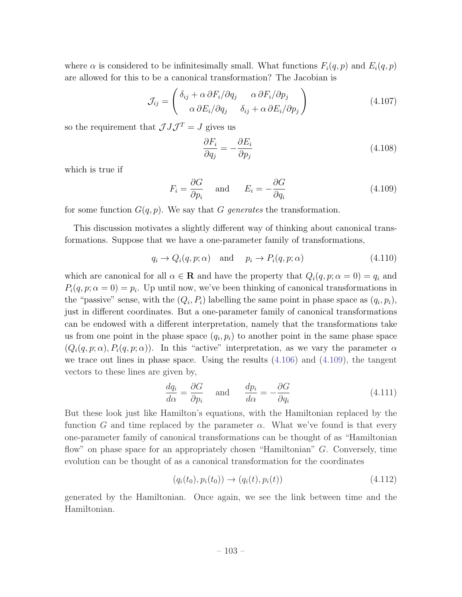where  $\alpha$  is considered to be infinitesimally small. What functions  $F_i(q, p)$  and  $E_i(q, p)$ are allowed for this to be a canonical transformation? The Jacobian is

$$
\mathcal{J}_{ij} = \begin{pmatrix} \delta_{ij} + \alpha \,\partial F_i / \partial q_j & \alpha \,\partial F_i / \partial p_j \\ \alpha \,\partial E_i / \partial q_j & \delta_{ij} + \alpha \,\partial E_i / \partial p_j \end{pmatrix} \tag{4.107}
$$

so the requirement that  $\mathcal{J} J \mathcal{J}^T = J$  gives us

$$
\frac{\partial F_i}{\partial q_j} = -\frac{\partial E_i}{\partial p_j} \tag{4.108}
$$

which is true if

$$
F_i = \frac{\partial G}{\partial p_i} \quad \text{and} \quad E_i = -\frac{\partial G}{\partial q_i} \tag{4.109}
$$

for some function  $G(q, p)$ . We say that G generates the transformation.

This discussion motivates a slightly different way of thinking about canonical transformations. Suppose that we have a one-parameter family of transformations,

$$
q_i \to Q_i(q, p; \alpha) \quad \text{and} \quad p_i \to P_i(q, p; \alpha) \tag{4.110}
$$

which are canonical for all  $\alpha \in \mathbf{R}$  and have the property that  $Q_i(q, p; \alpha = 0) = q_i$  and  $P_i(q, p; \alpha = 0) = p_i$ . Up until now, we've been thinking of canonical transformations in the "passive" sense, with the  $(Q_i, P_i)$  labelling the same point in phase space as  $(q_i, p_i)$ , just in different coordinates. But a one-parameter family of canonical transformations can be endowed with a different interpretation, namely that the transformations take us from one point in the phase space  $(q_i, p_i)$  to another point in the same phase space  $(Q_i(q, p; \alpha), P_i(q, p; \alpha))$ . In this "active" interpretation, as we vary the parameter  $\alpha$ we trace out lines in phase space. Using the results (4.106) and (4.109), the tangent vectors to these lines are given by,

$$
\frac{dq_i}{d\alpha} = \frac{\partial G}{\partial p_i} \quad \text{and} \quad \frac{dp_i}{d\alpha} = -\frac{\partial G}{\partial q_i}
$$
(4.111)

But these look just like Hamilton's equations, with the Hamiltonian replaced by the function *G* and time replaced by the parameter  $\alpha$ . What we've found is that every one-parameter family of canonical transformations can be thought of as "Hamiltonian flow" on phase space for an appropriately chosen "Hamiltonian" *G*. Conversely, time evolution can be thought of as a canonical transformation for the coordinates

$$
(q_i(t_0), p_i(t_0)) \to (q_i(t), p_i(t)) \tag{4.112}
$$

generated by the Hamiltonian. Once again, we see the link between time and the Hamiltonian.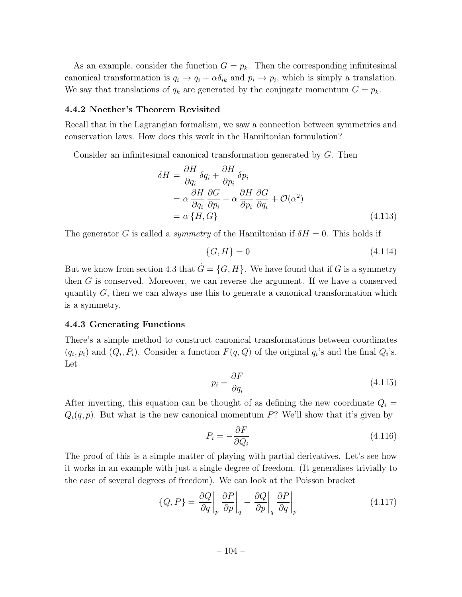As an example, consider the function  $G = p_k$ . Then the corresponding infinitesimal canonical transformation is  $q_i \rightarrow q_i + \alpha \delta_{ik}$  and  $p_i \rightarrow p_i$ , which is simply a translation. We say that translations of  $q_k$  are generated by the conjugate momentum  $G = p_k$ .

### 4.4.2 Noether's Theorem Revisited

Recall that in the Lagrangian formalism, we saw a connection between symmetries and conservation laws. How does this work in the Hamiltonian formulation?

Consider an infinitesimal canonical transformation generated by *G*. Then

$$
\delta H = \frac{\partial H}{\partial q_i} \delta q_i + \frac{\partial H}{\partial p_i} \delta p_i
$$
  
=  $\alpha \frac{\partial H}{\partial q_i} \frac{\partial G}{\partial p_i} - \alpha \frac{\partial H}{\partial p_i} \frac{\partial G}{\partial q_i} + \mathcal{O}(\alpha^2)$   
=  $\alpha \{H, G\}$  (4.113)

The generator *G* is called a *symmetry* of the Hamiltonian if  $\delta H = 0$ . This holds if

$$
\{G, H\} = 0 \tag{4.114}
$$

But we know from section 4.3 that  $\dot{G} = \{G, H\}$ . We have found that if *G* is a symmetry then *G* is conserved. Moreover, we can reverse the argument. If we have a conserved quantity *G*, then we can always use this to generate a canonical transformation which is a symmetry.

#### 4.4.3 Generating Functions

There's a simple method to construct canonical transformations between coordinates  $(q_i, p_i)$  and  $(Q_i, P_i)$ . Consider a function  $F(q, Q)$  of the original  $q_i$ 's and the final  $Q_i$ 's. Let

$$
p_i = \frac{\partial F}{\partial q_i} \tag{4.115}
$$

After inverting, this equation can be thought of as defining the new coordinate  $Q_i$  $Q_i(q, p)$ . But what is the new canonical momentum *P*? We'll show that it's given by

$$
P_i = -\frac{\partial F}{\partial Q_i} \tag{4.116}
$$

The proof of this is a simple matter of playing with partial derivatives. Let's see how it works in an example with just a single degree of freedom. (It generalises trivially to the case of several degrees of freedom). We can look at the Poisson bracket

$$
\{Q, P\} = \frac{\partial Q}{\partial q} \bigg|_p \left. \frac{\partial P}{\partial p} \right|_q - \left. \frac{\partial Q}{\partial p} \right|_q \left. \frac{\partial P}{\partial q} \right|_p \tag{4.117}
$$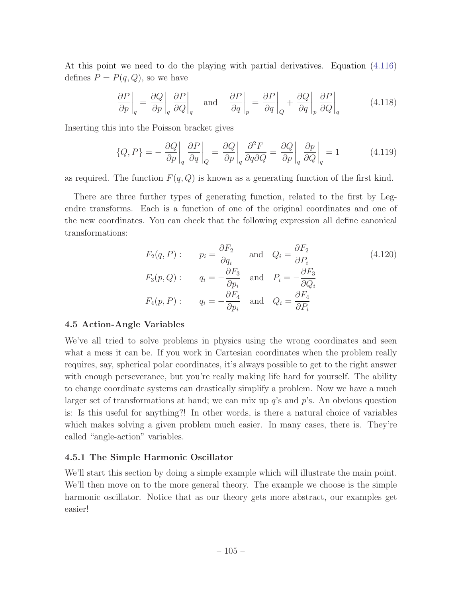At this point we need to do the playing with partial derivatives. Equation (4.116) defines  $P = P(q, Q)$ , so we have

$$
\left. \frac{\partial P}{\partial p} \right|_q = \left. \frac{\partial Q}{\partial p} \right|_q \left. \frac{\partial P}{\partial Q} \right|_q \quad \text{and} \quad \left. \frac{\partial P}{\partial q} \right|_p = \left. \frac{\partial P}{\partial q} \right|_Q + \left. \frac{\partial Q}{\partial q} \right|_p \left. \frac{\partial P}{\partial Q} \right|_q \tag{4.118}
$$

Inserting this into the Poisson bracket gives

$$
\{Q, P\} = -\left. \frac{\partial Q}{\partial p} \right|_q \left. \frac{\partial P}{\partial q} \right|_Q = \left. \frac{\partial Q}{\partial p} \right|_q \left. \frac{\partial^2 F}{\partial q \partial Q} = \left. \frac{\partial Q}{\partial p} \right|_q \left. \frac{\partial p}{\partial Q} \right|_q = 1 \tag{4.119}
$$

as required. The function  $F(q, Q)$  is known as a generating function of the first kind.

There are three further types of generating function, related to the first by Legendre transforms. Each is a function of one of the original coordinates and one of the new coordinates. You can check that the following expression all define canonical transformations:

$$
F_2(q, P): \t p_i = \frac{\partial F_2}{\partial q_i} \t \text{and} \t Q_i = \frac{\partial F_2}{\partial P_i}
$$
\n
$$
F_3(p, Q): \t q_i = -\frac{\partial F_3}{\partial p_i} \t \text{and} \t P_i = -\frac{\partial F_3}{\partial Q_i}
$$
\n
$$
F_4(p, P): \t q_i = -\frac{\partial F_4}{\partial p_i} \t \text{and} \t Q_i = \frac{\partial F_4}{\partial P_i}
$$
\n(4.120)

### 4.5 Action-Angle Variables

We've all tried to solve problems in physics using the wrong coordinates and seen what a mess it can be. If you work in Cartesian coordinates when the problem really requires, say, spherical polar coordinates, it's always possible to get to the right answer with enough perseverance, but you're really making life hard for yourself. The ability to change coordinate systems can drastically simplify a problem. Now we have a much larger set of transformations at hand; we can mix up *q*'s and *p*'s. An obvious question is: Is this useful for anything?! In other words, is there a natural choice of variables which makes solving a given problem much easier. In many cases, there is. They're called "angle-action" variables.

### 4.5.1 The Simple Harmonic Oscillator

We'll start this section by doing a simple example which will illustrate the main point. We'll then move on to the more general theory. The example we choose is the simple harmonic oscillator. Notice that as our theory gets more abstract, our examples get easier!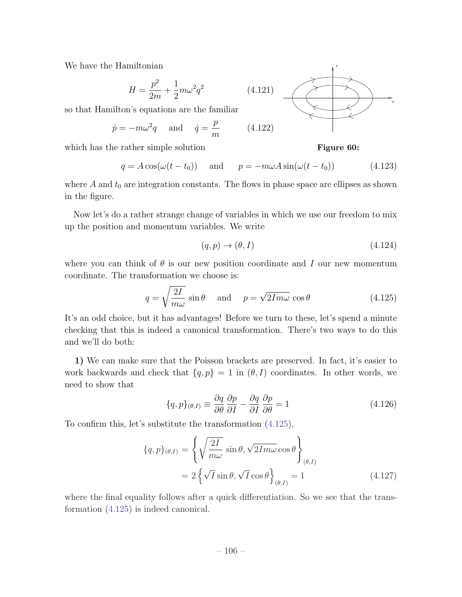We have the Hamiltonian

$$
H = \frac{p^2}{2m} + \frac{1}{2}m\omega^2q^2
$$

so that Hamilton's equations are the familiar

$$
\dot{p} = -m\omega^2 q \quad \text{and} \quad \dot{q} = \frac{p}{m} \tag{4.122}
$$

which has the rather simple solution

$$
q = A\cos(\omega(t - t_0)) \quad \text{and} \quad p = -m\omega A\sin(\omega(t - t_0)) \tag{4.123}
$$

where  $A$  and  $t_0$  are integration constants. The flows in phase space are ellipses as shown in the figure.

Now let's do a rather strange change of variables in which we use our freedom to mix up the position and momentum variables. We write

$$
(q, p) \to (\theta, I) \tag{4.124}
$$

where you can think of  $\theta$  is our new position coordinate and *I* our new momentum coordinate. The transformation we choose is:

$$
q = \sqrt{\frac{2I}{m\omega}} \sin \theta \quad \text{and} \quad p = \sqrt{2Im\omega} \cos \theta \tag{4.125}
$$

It's an odd choice, but it has advantages! Before we turn to these, let's spend a minute checking that this is indeed a canonical transformation. There's two ways to do this and we'll do both:

1) We can make sure that the Poisson brackets are preserved. In fact, it's easier to work backwards and check that  ${q, p} = 1$  in  $(\theta, I)$  coordinates. In other words, we need to show that

$$
\{q, p\}_{(\theta, I)} \equiv \frac{\partial q}{\partial \theta} \frac{\partial p}{\partial I} - \frac{\partial q}{\partial I} \frac{\partial p}{\partial \theta} = 1
$$
\n(4.126)

To confirm this, let's substitute the transformation (4.125),

$$
\{q, p\}_{(\theta, I)} = \left\{ \sqrt{\frac{2I}{m\omega}} \sin \theta, \sqrt{2Im\omega} \cos \theta \right\}_{(\theta, I)}
$$

$$
= 2 \left\{ \sqrt{I} \sin \theta, \sqrt{I} \cos \theta \right\}_{(\theta, I)} = 1
$$
(4.127)

where the final equality follows after a quick differentiation. So we see that the transformation (4.125) is indeed canonical.



p

Figure 60:

q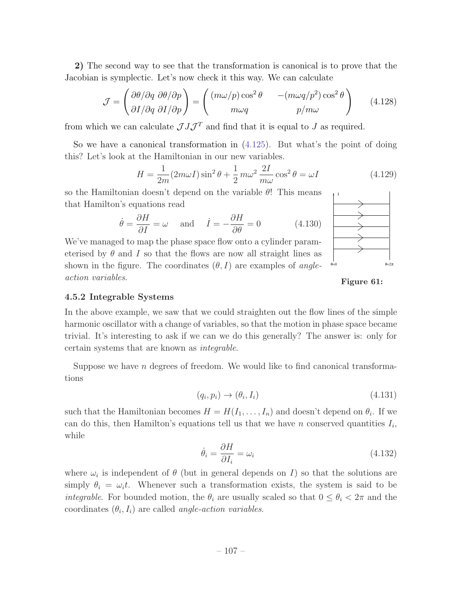2) The second way to see that the transformation is canonical is to prove that the Jacobian is symplectic. Let's now check it this way. We can calculate

$$
\mathcal{J} = \begin{pmatrix} \frac{\partial \theta}{\partial q} & \frac{\partial \theta}{\partial p} \\ \frac{\partial I}{\partial q} & \frac{\partial I}{\partial p} \end{pmatrix} = \begin{pmatrix} (m\omega/p) \cos^2 \theta & -(m\omega q/p^2) \cos^2 \theta \\ m\omega q & p/m\omega \end{pmatrix}
$$
(4.128)

from which we can calculate  $\mathcal{J} J \mathcal{J}^T$  and find that it is equal to *J* as required.

So we have a canonical transformation in  $(4.125)$ . But what's the point of doing this? Let's look at the Hamiltonian in our new variables.

$$
H = \frac{1}{2m}(2m\omega I)\sin^2\theta + \frac{1}{2}m\omega^2\frac{2I}{m\omega}\cos^2\theta = \omega I
$$
 (4.129)

so the Hamiltonian doesn't depend on the variable  $\theta$ ! This means that Hamilton's equations read

$$
\dot{\theta} = \frac{\partial H}{\partial I} = \omega \quad \text{and} \quad \dot{I} = -\frac{\partial H}{\partial \theta} = 0 \tag{4.130}
$$

We've managed to map the phase space flow onto a cylinder parameterised by  $\theta$  and *I* so that the flows are now all straight lines as shown in the figure. The coordinates  $(\theta, I)$  are examples of *angleaction variables*.



Figure 61:

# 4.5.2 Integrable Systems

In the above example, we saw that we could straighten out the flow lines of the simple harmonic oscillator with a change of variables, so that the motion in phase space became trivial. It's interesting to ask if we can we do this generally? The answer is: only for certain systems that are known as *integrable*.

Suppose we have *n* degrees of freedom. We would like to find canonical transformations

$$
(q_i, p_i) \rightarrow (\theta_i, I_i) \tag{4.131}
$$

such that the Hamiltonian becomes  $H = H(I_1, \ldots, I_n)$  and doesn't depend on  $\theta_i$ . If we can do this, then Hamilton's equations tell us that we have *n* conserved quantities  $I_i$ , while

$$
\dot{\theta}_i = \frac{\partial H}{\partial I_i} = \omega_i \tag{4.132}
$$

where  $\omega_i$  is independent of  $\theta$  (but in general depends on *I*) so that the solutions are simply  $\theta_i = \omega_i t$ . Whenever such a transformation exists, the system is said to be *integrable*. For bounded motion, the  $\theta_i$  are usually scaled so that  $0 \leq \theta_i < 2\pi$  and the coordinates  $(\theta_i, I_i)$  are called *angle-action variables*.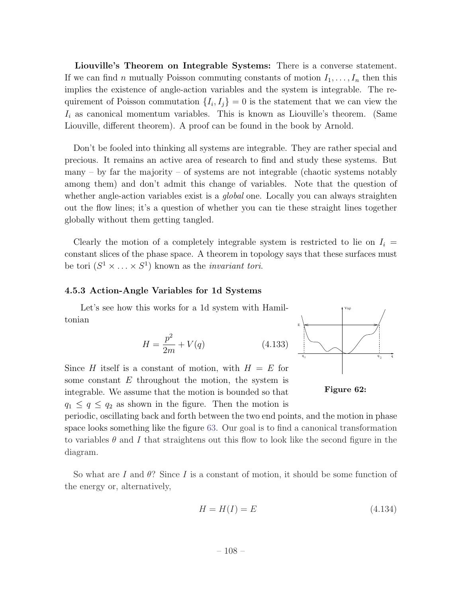Liouville's Theorem on Integrable Systems: There is a converse statement. If we can find *n* mutually Poisson commuting constants of motion  $I_1, \ldots, I_n$  then this implies the existence of angle-action variables and the system is integrable. The requirement of Poisson commutation  $\{I_i, I_j\} = 0$  is the statement that we can view the  $I_i$  as canonical momentum variables. This is known as Liouville's theorem. (Same Liouville, different theorem). A proof can be found in the book by Arnold.

Don't be fooled into thinking all systems are integrable. They are rather special and precious. It remains an active area of research to find and study these systems. But many – by far the majority – of systems are not integrable (chaotic systems notably among them) and don't admit this change of variables. Note that the question of whether angle-action variables exist is a *global* one. Locally you can always straighten out the flow lines; it's a question of whether you can tie these straight lines together globally without them getting tangled.

Clearly the motion of a completely integrable system is restricted to lie on  $I_i$ constant slices of the phase space. A theorem in topology says that these surfaces must be tori  $(S^1 \times \ldots \times S^1)$  known as the *invariant tori*.

### 4.5.3 Action-Angle Variables for 1d Systems

Let's see how this works for a 1d system with Hamiltonian

$$
H = \frac{p^2}{2m} + V(q)
$$



Figure 62:

some constant *E* throughout the motion, the system is integrable. We assume that the motion is bounded so that  $q_1 \leq q \leq q_2$  as shown in the figure. Then the motion is

periodic, oscillating back and forth between the two end points, and the motion in phase space looks something like the figure 63. Our goal is to find a canonical transformation to variables  $\theta$  and I that straightens out this flow to look like the second figure in the diagram.

So what are  $I$  and  $\theta$ ? Since  $I$  is a constant of motion, it should be some function of the energy or, alternatively,

$$
H = H(I) = E \tag{4.134}
$$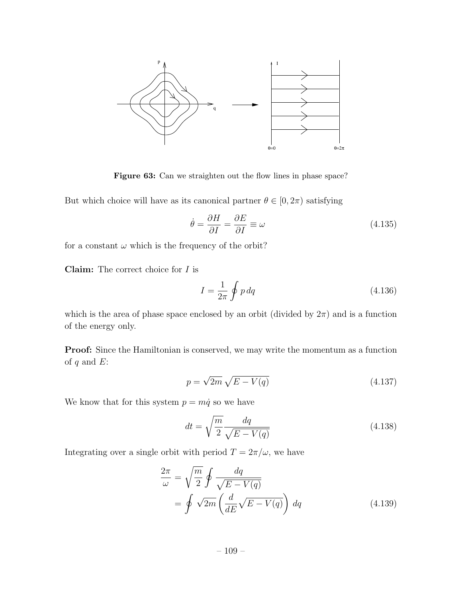

Figure 63: Can we straighten out the flow lines in phase space?

But which choice will have as its canonical partner  $\theta \in [0, 2\pi)$  satisfying

$$
\dot{\theta} = \frac{\partial H}{\partial I} = \frac{\partial E}{\partial I} \equiv \omega \tag{4.135}
$$

for a constant  $\omega$  which is the frequency of the orbit?

Claim: The correct choice for *I* is

$$
I = \frac{1}{2\pi} \oint p \, dq \tag{4.136}
$$

which is the area of phase space enclosed by an orbit (divided by  $2\pi$ ) and is a function of the energy only.

**Proof:** Since the Hamiltonian is conserved, we may write the momentum as a function of *q* and *E*:

$$
p = \sqrt{2m}\sqrt{E - V(q)}\tag{4.137}
$$

We know that for this system  $p = m\dot{q}$  so we have

$$
dt = \sqrt{\frac{m}{2}} \frac{dq}{\sqrt{E - V(q)}}
$$
\n(4.138)

Integrating over a single orbit with period  $T = 2\pi/\omega$ , we have

$$
\frac{2\pi}{\omega} = \sqrt{\frac{m}{2}} \oint \frac{dq}{\sqrt{E - V(q)}} \n= \oint \sqrt{2m} \left( \frac{d}{dE} \sqrt{E - V(q)} \right) dq
$$
\n(4.139)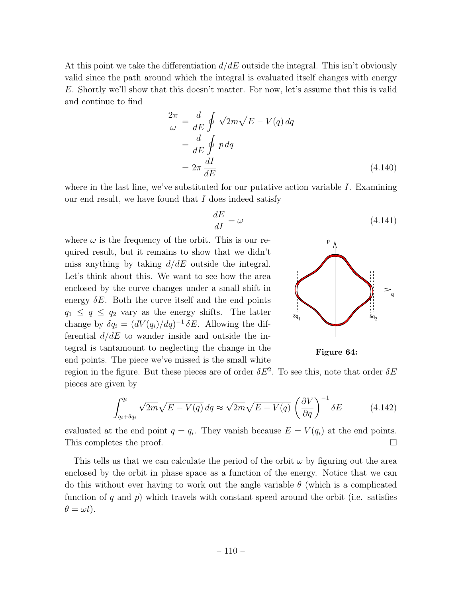At this point we take the differentiation  $d/dE$  outside the integral. This isn't obviously valid since the path around which the integral is evaluated itself changes with energy *E*. Shortly we'll show that this doesn't matter. For now, let's assume that this is valid and continue to find

$$
\frac{2\pi}{\omega} = \frac{d}{dE} \oint \sqrt{2m} \sqrt{E - V(q)} dq
$$

$$
= \frac{d}{dE} \oint p dq
$$

$$
= 2\pi \frac{dI}{dE}
$$
(4.140)

where in the last line, we've substituted for our putative action variable *I*. Examining our end result, we have found that *I* does indeed satisfy

$$
\frac{dE}{dI} = \omega \tag{4.141}
$$

where  $\omega$  is the frequency of the orbit. This is our required result, but it remains to show that we didn't miss anything by taking *d/dE* outside the integral. Let's think about this. We want to see how the area enclosed by the curve changes under a small shift in energy  $\delta E$ . Both the curve itself and the end points  $q_1 \leq q \leq q_2$  vary as the energy shifts. The latter change by  $\delta q_i = (dV(q_i)/dq)^{-1} \delta E$ . Allowing the differential *d/dE* to wander inside and outside the integral is tantamount to neglecting the change in the end points. The piece we've missed is the small white



Figure 64:

region in the figure. But these pieces are of order  $\delta E^2$ . To see this, note that order  $\delta E$ pieces are given by

$$
\int_{q_i + \delta q_i}^{q_i} \sqrt{2m} \sqrt{E - V(q)} \, dq \approx \sqrt{2m} \sqrt{E - V(q)} \left(\frac{\partial V}{\partial q}\right)^{-1} \delta E \tag{4.142}
$$

evaluated at the end point  $q = q_i$ . They vanish because  $E = V(q_i)$  at the end points. This completes the proof.  $\Box$ 

This tells us that we can calculate the period of the orbit  $\omega$  by figuring out the area enclosed by the orbit in phase space as a function of the energy. Notice that we can do this without ever having to work out the angle variable  $\theta$  (which is a complicated function of  $q$  and  $p$ ) which travels with constant speed around the orbit (i.e. satisfies  $\theta = \omega t$ .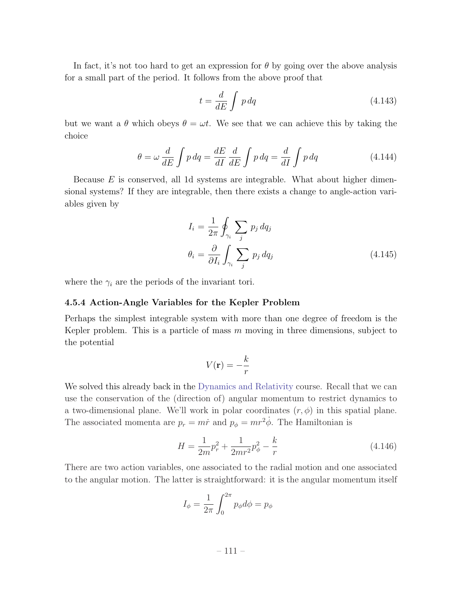In fact, it's not too hard to get an expression for  $\theta$  by going over the above analysis for a small part of the period. It follows from the above proof that

$$
t = \frac{d}{dE} \int p \, dq \tag{4.143}
$$

but we want a  $\theta$  which obeys  $\theta = \omega t$ . We see that we can achieve this by taking the choice

$$
\theta = \omega \frac{d}{dE} \int p \, dq = \frac{dE}{dI} \frac{d}{dE} \int p \, dq = \frac{d}{dI} \int p \, dq \tag{4.144}
$$

Because *E* is conserved, all 1d systems are integrable. What about higher dimensional systems? If they are integrable, then there exists a change to angle-action variables given by

$$
I_i = \frac{1}{2\pi} \oint_{\gamma_i} \sum_j p_j \, dq_j
$$
  

$$
\theta_i = \frac{\partial}{\partial I_i} \int_{\gamma_i} \sum_j p_j \, dq_j
$$
(4.145)

where the  $\gamma_i$  are the periods of the invariant tori.

## 4.5.4 Action-Angle Variables for the Kepler Problem

Perhaps the simplest integrable system with more than one degree of freedom is the Kepler problem. This is a particle of mass *m* moving in three dimensions, subject to the potential

$$
V(\mathbf{r}) = -\frac{k}{r}
$$

We solved this already back in the Dynamics and Relativity course. Recall that we can use the conservation of the (direction of) angular momentum to restrict dynamics to a two-dimensional plane. We'll work in polar coordinates  $(r, \phi)$  in this spatial plane. The associated momenta are  $p_r = m\dot{r}$  and  $p_\phi = mr^2\dot{\phi}$ . The Hamiltonian is

$$
H = \frac{1}{2m}p_r^2 + \frac{1}{2mr^2}p_\phi^2 - \frac{k}{r}
$$
\n(4.146)

There are two action variables, one associated to the radial motion and one associated to the angular motion. The latter is straightforward: it is the angular momentum itself

$$
I_{\phi} = \frac{1}{2\pi} \int_0^{2\pi} p_{\phi} d\phi = p_{\phi}
$$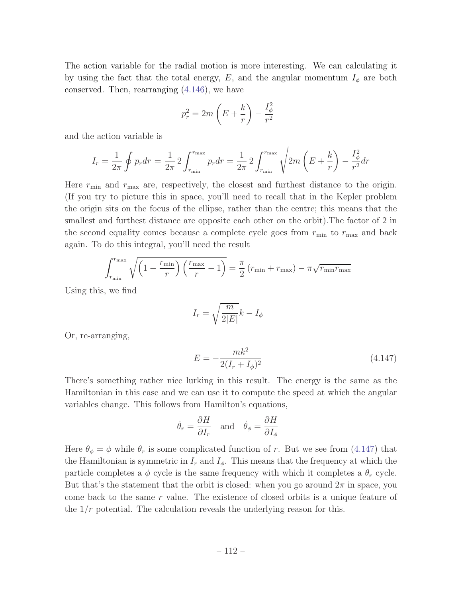The action variable for the radial motion is more interesting. We can calculating it by using the fact that the total energy,  $E$ , and the angular momentum  $I_{\phi}$  are both conserved. Then, rearranging (4.146), we have

$$
p_r^2 = 2m\left(E + \frac{k}{r}\right) - \frac{I_{\phi}^2}{r^2}
$$

and the action variable is

$$
I_r = \frac{1}{2\pi} \oint p_r dr = \frac{1}{2\pi} 2 \int_{r_{\min}}^{r_{\max}} p_r dr = \frac{1}{2\pi} 2 \int_{r_{\min}}^{r_{\max}} \sqrt{2m \left( E + \frac{k}{r} \right) - \frac{I_{\phi}^2}{r^2}} dr
$$

Here  $r_{\min}$  and  $r_{\max}$  are, respectively, the closest and furthest distance to the origin. (If you try to picture this in space, you'll need to recall that in the Kepler problem the origin sits on the focus of the ellipse, rather than the centre; this means that the smallest and furthest distance are opposite each other on the orbit).The factor of 2 in the second equality comes because a complete cycle goes from  $r_{\min}$  to  $r_{\max}$  and back again. To do this integral, you'll need the result

$$
\int_{r_{\min}}^{r_{\max}} \sqrt{\left(1 - \frac{r_{\min}}{r}\right)\left(\frac{r_{\max}}{r} - 1\right)} = \frac{\pi}{2}\left(r_{\min} + r_{\max}\right) - \pi\sqrt{r_{\min}r_{\max}}
$$

Using this, we find

$$
I_r = \sqrt{\frac{m}{2|E|}}k - I_\phi
$$

Or, re-arranging,

$$
E = -\frac{mk^2}{2(I_r + I_\phi)^2} \tag{4.147}
$$

There's something rather nice lurking in this result. The energy is the same as the Hamiltonian in this case and we can use it to compute the speed at which the angular variables change. This follows from Hamilton's equations,

$$
\dot{\theta}_r = \frac{\partial H}{\partial I_r}
$$
 and  $\dot{\theta}_\phi = \frac{\partial H}{\partial I_\phi}$ 

Here  $\theta_{\phi} = \phi$  while  $\theta_r$  is some complicated function of r. But we see from (4.147) that the Hamiltonian is symmetric in  $I_r$  and  $I_\phi$ . This means that the frequency at which the particle completes a  $\phi$  cycle is the same frequency with which it completes a  $\theta_r$  cycle. But that's the statement that the orbit is closed: when you go around  $2\pi$  in space, you come back to the same *r* value. The existence of closed orbits is a unique feature of the 1*/r* potential. The calculation reveals the underlying reason for this.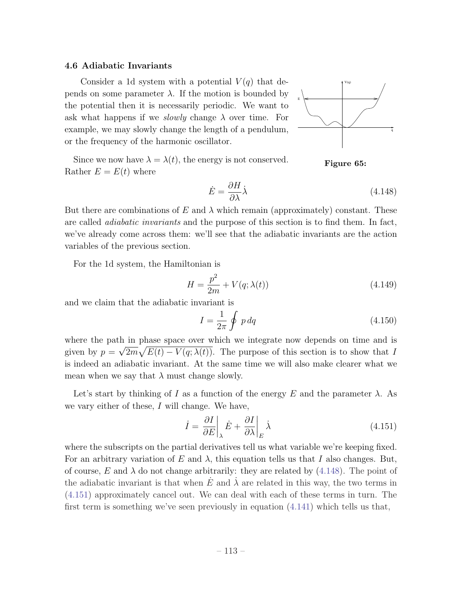#### 4.6 Adiabatic Invariants

Consider a 1d system with a potential  $V(q)$  that depends on some parameter  $\lambda$ . If the motion is bounded by the potential then it is necessarily periodic. We want to ask what happens if we *slowly* change  $\lambda$  over time. For example, we may slowly change the length of a pendulum, or the frequency of the harmonic oscillator.



Figure 65: Since we now have  $\lambda = \lambda(t)$ , the energy is not conserved. Rather  $E = E(t)$  where

$$
\dot{E} = \frac{\partial H}{\partial \lambda} \dot{\lambda} \tag{4.148}
$$

But there are combinations of  $E$  and  $\lambda$  which remain (approximately) constant. These are called *adiabatic invariants* and the purpose of this section is to find them. In fact, we've already come across them: we'll see that the adiabatic invariants are the action variables of the previous section.

For the 1d system, the Hamiltonian is

$$
H = \frac{p^2}{2m} + V(q; \lambda(t))
$$
\n(4.149)

and we claim that the adiabatic invariant is

$$
I = \frac{1}{2\pi} \oint p \, dq \tag{4.150}
$$

where the path in phase space over which we integrate now depends on time and is given by  $p = \sqrt{2m}\sqrt{E(t) - V(q; \lambda(t))}$ . The purpose of this section is to show that *I* is indeed an adiabatic invariant. At the same time we will also make clearer what we mean when we say that  $\lambda$  must change slowly.

Let's start by thinking of *I* as a function of the energy E and the parameter  $\lambda$ . As we vary either of these, *I* will change. We have,

$$
\dot{I} = \frac{\partial I}{\partial E} \bigg|_{\lambda} \dot{E} + \frac{\partial I}{\partial \lambda} \bigg|_{E} \dot{\lambda}
$$
\n(4.151)

where the subscripts on the partial derivatives tell us what variable we're keeping fixed. For an arbitrary variation of E and  $\lambda$ , this equation tells us that I also changes. But, of course, E and  $\lambda$  do not change arbitrarily: they are related by (4.148). The point of the adiabatic invariant is that when  $E$  and  $\lambda$  are related in this way, the two terms in (4.151) approximately cancel out. We can deal with each of these terms in turn. The first term is something we've seen previously in equation (4.141) which tells us that,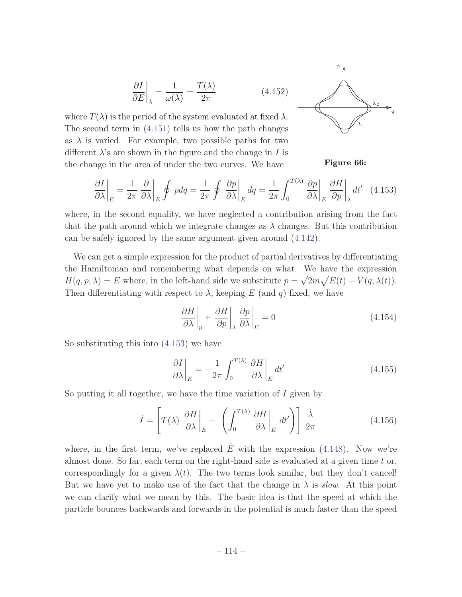$$
\left. \frac{\partial I}{\partial E} \right|_{\lambda} = \frac{1}{\omega(\lambda)} = \frac{T(\lambda)}{2\pi} \tag{4.152}
$$

where  $T(\lambda)$  is the period of the system evaluated at fixed  $\lambda$ . The second term in (4.151) tells us how the path changes as  $\lambda$  is varied. For example, two possible paths for two different  $\lambda$ 's are shown in the figure and the change in *I* is the change in the area of under the two curves. We have



Figure 66:

$$
\frac{\partial I}{\partial \lambda}\bigg|_{E} = \frac{1}{2\pi} \frac{\partial}{\partial \lambda}\bigg|_{E} \oint p dq = \frac{1}{2\pi} \oint \frac{\partial p}{\partial \lambda}\bigg|_{E} dq = \frac{1}{2\pi} \int_{0}^{T(\lambda)} \frac{\partial p}{\partial \lambda}\bigg|_{E} \frac{\partial H}{\partial p}\bigg|_{\lambda} dt' \quad (4.153)
$$

where, in the second equality, we have neglected a contribution arising from the fact that the path around which we integrate changes as  $\lambda$  changes. But this contribution can be safely ignored by the same argument given around (4.142).

We can get a simple expression for the product of partial derivatives by differentiating the Hamiltonian and remembering what depends on what. We have the expression  $H(q, p, \lambda) = E$  where, in the left-hand side we substitute  $p = \sqrt{2m\sqrt{E(t)} - V(q; \lambda(t))}$ . Then differentiating with respect to  $\lambda$ , keeping *E* (and *q*) fixed, we have

$$
\left. \frac{\partial H}{\partial \lambda} \right|_{p} + \left. \frac{\partial H}{\partial p} \right|_{\lambda} \left. \frac{\partial p}{\partial \lambda} \right|_{E} = 0 \tag{4.154}
$$

So substituting this into (4.153) we have

$$
\left. \frac{\partial I}{\partial \lambda} \right|_{E} = -\frac{1}{2\pi} \int_{0}^{T(\lambda)} \left. \frac{\partial H}{\partial \lambda} \right|_{E} dt' \tag{4.155}
$$

So putting it all together, we have the time variation of *I* given by

$$
\dot{I} = \left[ T(\lambda) \left. \frac{\partial H}{\partial \lambda} \right|_{E} - \left( \int_{0}^{T(\lambda)} \left. \frac{\partial H}{\partial \lambda} \right|_{E} dt' \right) \right] \frac{\dot{\lambda}}{2\pi}
$$
(4.156)

where, in the first term, we've replaced  $E$  with the expression (4.148). Now we're almost done. So far, each term on the right-hand side is evaluated at a given time *t* or, correspondingly for a given  $\lambda(t)$ . The two terms look similar, but they don't cancel! But we have yet to make use of the fact that the change in  $\lambda$  is *slow*. At this point we can clarify what we mean by this. The basic idea is that the speed at which the particle bounces backwards and forwards in the potential is much faster than the speed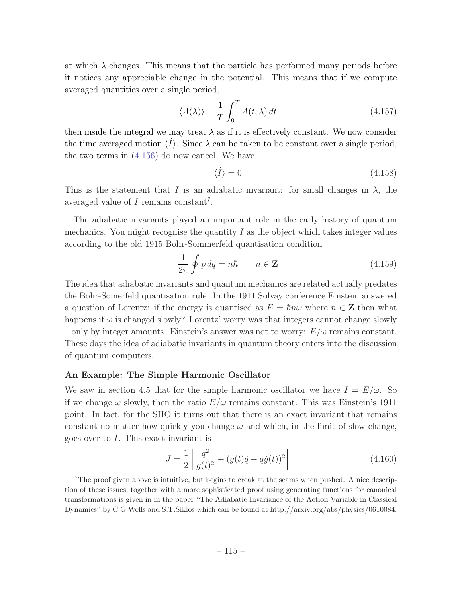at which  $\lambda$  changes. This means that the particle has performed many periods before it notices any appreciable change in the potential. This means that if we compute averaged quantities over a single period,

$$
\langle A(\lambda) \rangle = \frac{1}{T} \int_0^T A(t, \lambda) dt
$$
 (4.157)

then inside the integral we may treat  $\lambda$  as if it is effectively constant. We now consider the time averaged motion  $\langle \dot{I} \rangle$ . Since  $\lambda$  can be taken to be constant over a single period, the two terms in (4.156) do now cancel. We have

$$
\langle \dot{I} \rangle = 0 \tag{4.158}
$$

This is the statement that *I* is an adiabatic invariant: for small changes in  $\lambda$ , the averaged value of *I* remains constant<sup>7</sup>.

The adiabatic invariants played an important role in the early history of quantum mechanics. You might recognise the quantity  $I$  as the object which takes integer values according to the old 1915 Bohr-Sommerfeld quantisation condition

$$
\frac{1}{2\pi} \oint p \, dq = n\hbar \qquad n \in \mathbb{Z} \tag{4.159}
$$

The idea that adiabatic invariants and quantum mechanics are related actually predates the Bohr-Somerfeld quantisation rule. In the 1911 Solvay conference Einstein answered a question of Lorentz: if the energy is quantised as  $E = \hbar n \omega$  where  $n \in \mathbb{Z}$  then what happens if  $\omega$  is changed slowly? Lorentz' worry was that integers cannot change slowly – only by integer amounts. Einstein's answer was not to worry:  $E/\omega$  remains constant. These days the idea of adiabatic invariants in quantum theory enters into the discussion of quantum computers.

### An Example: The Simple Harmonic Oscillator

We saw in section 4.5 that for the simple harmonic oscillator we have  $I = E/\omega$ . So if we change  $\omega$  slowly, then the ratio  $E/\omega$  remains constant. This was Einstein's 1911 point. In fact, for the SHO it turns out that there is an exact invariant that remains constant no matter how quickly you change  $\omega$  and which, in the limit of slow change, goes over to *I*. This exact invariant is

$$
J = \frac{1}{2} \left[ \frac{q^2}{g(t)^2} + (g(t)\dot{q} - q\dot{g}(t))^2 \right]
$$
 (4.160)

<sup>&</sup>lt;sup>7</sup>The proof given above is intuitive, but begins to creak at the seams when pushed. A nice description of these issues, together with a more sophisticated proof using generating functions for canonical transformations is given in in the paper "The Adiabatic Invariance of the Action Variable in Classical Dynamics" by C.G.Wells and S.T.Siklos which can be found at http://arxiv.org/abs/physics/0610084.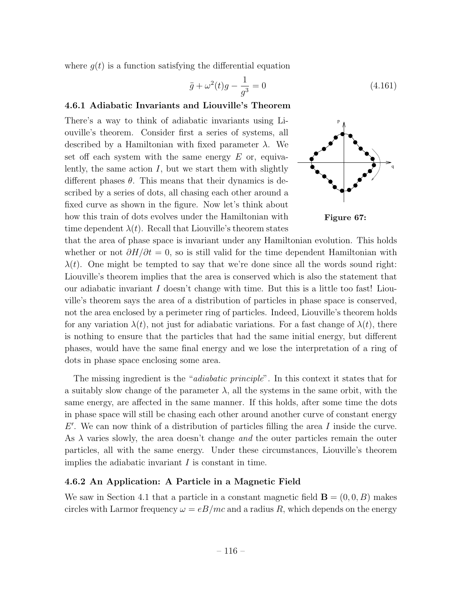where  $g(t)$  is a function satisfying the differential equation

$$
\ddot{g} + \omega^2(t)g - \frac{1}{g^3} = 0 \tag{4.161}
$$

### 4.6.1 Adiabatic Invariants and Liouville's Theorem

There's a way to think of adiabatic invariants using Liouville's theorem. Consider first a series of systems, all described by a Hamiltonian with fixed parameter  $\lambda$ . We set off each system with the same energy  $E$  or, equivalently, the same action *I*, but we start them with slightly different phases  $\theta$ . This means that their dynamics is described by a series of dots, all chasing each other around a fixed curve as shown in the figure. Now let's think about how this train of dots evolves under the Hamiltonian with time dependent  $\lambda(t)$ . Recall that Liouville's theorem states



Figure 67:

that the area of phase space is invariant under any Hamiltonian evolution. This holds whether or not  $\partial H/\partial t = 0$ , so is still valid for the time dependent Hamiltonian with  $\lambda(t)$ . One might be tempted to say that we're done since all the words sound right: Liouville's theorem implies that the area is conserved which is also the statement that our adiabatic invariant *I* doesn't change with time. But this is a little too fast! Liouville's theorem says the area of a distribution of particles in phase space is conserved, not the area enclosed by a perimeter ring of particles. Indeed, Liouville's theorem holds for any variation  $\lambda(t)$ , not just for adiabatic variations. For a fast change of  $\lambda(t)$ , there is nothing to ensure that the particles that had the same initial energy, but different phases, would have the same final energy and we lose the interpretation of a ring of dots in phase space enclosing some area.

The missing ingredient is the "*adiabatic principle*". In this context it states that for a suitably slow change of the parameter  $\lambda$ , all the systems in the same orbit, with the same energy, are affected in the same manner. If this holds, after some time the dots in phase space will still be chasing each other around another curve of constant energy *E*'. We can now think of a distribution of particles filling the area *I* inside the curve. As  $\lambda$  varies slowly, the area doesn't change *and* the outer particles remain the outer particles, all with the same energy. Under these circumstances, Liouville's theorem implies the adiabatic invariant *I* is constant in time.

## 4.6.2 An Application: A Particle in a Magnetic Field

We saw in Section 4.1 that a particle in a constant magnetic field  $\mathbf{B} = (0,0,B)$  makes circles with Larmor frequency  $\omega = eB/mc$  and a radius R, which depends on the energy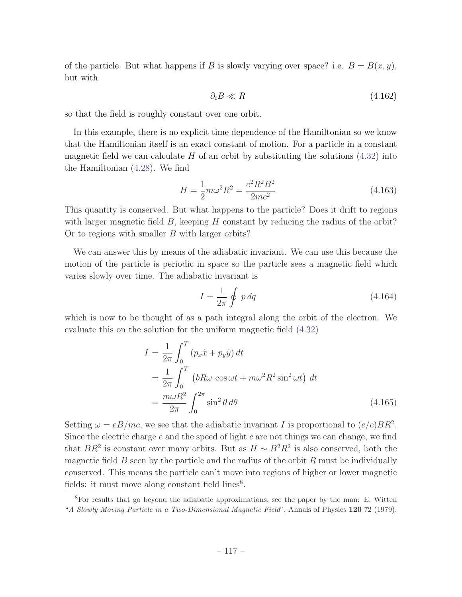of the particle. But what happens if *B* is slowly varying over space? i.e.  $B = B(x, y)$ , but with

$$
\partial_i B \ll R \tag{4.162}
$$

so that the field is roughly constant over one orbit.

In this example, there is no explicit time dependence of the Hamiltonian so we know that the Hamiltonian itself is an exact constant of motion. For a particle in a constant magnetic field we can calculate  $H$  of an orbit by substituting the solutions  $(4.32)$  into the Hamiltonian (4.28). We find

$$
H = \frac{1}{2}m\omega^2 R^2 = \frac{e^2 R^2 B^2}{2mc^2}
$$
\n(4.163)

This quantity is conserved. But what happens to the particle? Does it drift to regions with larger magnetic field *B*, keeping *H* constant by reducing the radius of the orbit? Or to regions with smaller *B* with larger orbits?

We can answer this by means of the adiabatic invariant. We can use this because the motion of the particle is periodic in space so the particle sees a magnetic field which varies slowly over time. The adiabatic invariant is

$$
I = \frac{1}{2\pi} \oint p \, dq \tag{4.164}
$$

which is now to be thought of as a path integral along the orbit of the electron. We evaluate this on the solution for the uniform magnetic field (4.32)

$$
I = \frac{1}{2\pi} \int_0^T (p_x \dot{x} + p_y \dot{y}) dt
$$
  
=  $\frac{1}{2\pi} \int_0^T (bR\omega \cos \omega t + m\omega^2 R^2 \sin^2 \omega t) dt$   
=  $\frac{m\omega R^2}{2\pi} \int_0^{2\pi} \sin^2 \theta d\theta$  (4.165)

Setting  $\omega = eB/mc$ , we see that the adiabatic invariant *I* is proportional to  $(e/c)BR^2$ . Since the electric charge *e* and the speed of light *c* are not things we can change, we find that  $BR^2$  is constant over many orbits. But as  $H \sim B^2 R^2$  is also conserved, both the magnetic field *B* seen by the particle and the radius of the orbit *R* must be individually conserved. This means the particle can't move into regions of higher or lower magnetic fields: it must move along constant field lines<sup>8</sup>.

<sup>8</sup>For results that go beyond the adiabatic approximations, see the paper by the man: E. Witten "*A Slowly Moving Particle in a Two-Dimensional Magnetic Field*", Annals of Physics 120 72 (1979).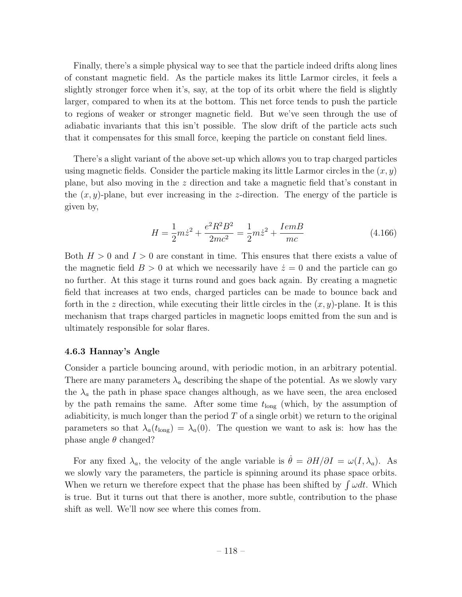Finally, there's a simple physical way to see that the particle indeed drifts along lines of constant magnetic field. As the particle makes its little Larmor circles, it feels a slightly stronger force when it's, say, at the top of its orbit where the field is slightly larger, compared to when its at the bottom. This net force tends to push the particle to regions of weaker or stronger magnetic field. But we've seen through the use of adiabatic invariants that this isn't possible. The slow drift of the particle acts such that it compensates for this small force, keeping the particle on constant field lines.

There's a slight variant of the above set-up which allows you to trap charged particles using magnetic fields. Consider the particle making its little Larmor circles in the (*x, y*) plane, but also moving in the *z* direction and take a magnetic field that's constant in the (*x, y*)-plane, but ever increasing in the *z*-direction. The energy of the particle is given by,

$$
H = \frac{1}{2}m\dot{z}^2 + \frac{e^2R^2B^2}{2mc^2} = \frac{1}{2}m\dot{z}^2 + \frac{IemB}{mc}
$$
 (4.166)

Both *H >* 0 and *I >* 0 are constant in time. This ensures that there exists a value of the magnetic field  $B > 0$  at which we necessarily have  $\dot{z} = 0$  and the particle can go no further. At this stage it turns round and goes back again. By creating a magnetic field that increases at two ends, charged particles can be made to bounce back and forth in the  $z$  direction, while executing their little circles in the  $(x, y)$ -plane. It is this mechanism that traps charged particles in magnetic loops emitted from the sun and is ultimately responsible for solar flares.

### 4.6.3 Hannay's Angle

Consider a particle bouncing around, with periodic motion, in an arbitrary potential. There are many parameters  $\lambda_a$  describing the shape of the potential. As we slowly vary the  $\lambda_a$  the path in phase space changes although, as we have seen, the area enclosed by the path remains the same. After some time  $t_{\text{long}}$  (which, by the assumption of adiabiticity, is much longer than the period *T* of a single orbit) we return to the original parameters so that  $\lambda_a(t_{\text{long}}) = \lambda_a(0)$ . The question we want to ask is: how has the phase angle  $\theta$  changed?

For any fixed  $\lambda_a$ , the velocity of the angle variable is  $\dot{\theta} = \partial H/\partial I = \omega(I, \lambda_a)$ . As we slowly vary the parameters, the particle is spinning around its phase space orbits. When we return we therefore expect that the phase has been shifted by  $\int \omega dt$ . Which is true. But it turns out that there is another, more subtle, contribution to the phase shift as well. We'll now see where this comes from.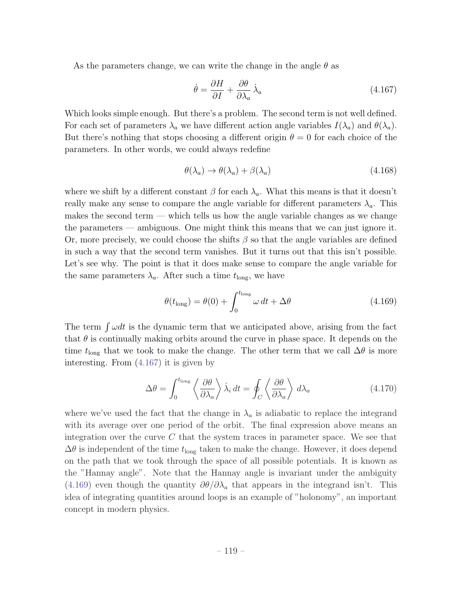As the parameters change, we can write the change in the angle  $\theta$  as

$$
\dot{\theta} = \frac{\partial H}{\partial I} + \frac{\partial \theta}{\partial \lambda_a} \dot{\lambda}_a \tag{4.167}
$$

Which looks simple enough. But there's a problem. The second term is not well defined. For each set of parameters  $\lambda_a$  we have different action angle variables  $I(\lambda_a)$  and  $\theta(\lambda_a)$ . But there's nothing that stops choosing a different origin  $\theta = 0$  for each choice of the parameters. In other words, we could always redefine

$$
\theta(\lambda_a) \to \theta(\lambda_a) + \beta(\lambda_a) \tag{4.168}
$$

where we shift by a different constant  $\beta$  for each  $\lambda_a$ . What this means is that it doesn't really make any sense to compare the angle variable for different parameters  $\lambda_a$ . This makes the second term — which tells us how the angle variable changes as we change the parameters — ambiguous. One might think this means that we can just ignore it. Or, more precisely, we could choose the shifts  $\beta$  so that the angle variables are defined in such a way that the second term vanishes. But it turns out that this isn't possible. Let's see why. The point is that it does make sense to compare the angle variable for the same parameters  $\lambda_a$ . After such a time  $t_{\text{long}}$ , we have

$$
\theta(t_{\text{long}}) = \theta(0) + \int_0^{t_{\text{long}}} \omega \, dt + \Delta\theta \tag{4.169}
$$

The term  $\int \omega dt$  is the dynamic term that we anticipated above, arising from the fact that  $\theta$  is continually making orbits around the curve in phase space. It depends on the time  $t_{\text{long}}$  that we took to make the change. The other term that we call  $\Delta\theta$  is more interesting. From (4.167) it is given by

$$
\Delta\theta = \int_0^{t_{\text{long}}} \left\langle \frac{\partial \theta}{\partial \lambda_a} \right\rangle \dot{\lambda}_i dt = \oint_C \left\langle \frac{\partial \theta}{\partial \lambda_a} \right\rangle d\lambda_a \tag{4.170}
$$

where we've used the fact that the change in  $\lambda_a$  is adiabatic to replace the integrand with its average over one period of the orbit. The final expression above means an integration over the curve *C* that the system traces in parameter space. We see that  $\Delta\theta$  is independent of the time  $t_{\text{long}}$  taken to make the change. However, it does depend on the path that we took through the space of all possible potentials. It is known as the "Hannay angle". Note that the Hannay angle is invariant under the ambiguity (4.169) even though the quantity  $\partial \theta / \partial \lambda_a$  that appears in the integrand isn't. This idea of integrating quantities around loops is an example of "holonomy", an important concept in modern physics.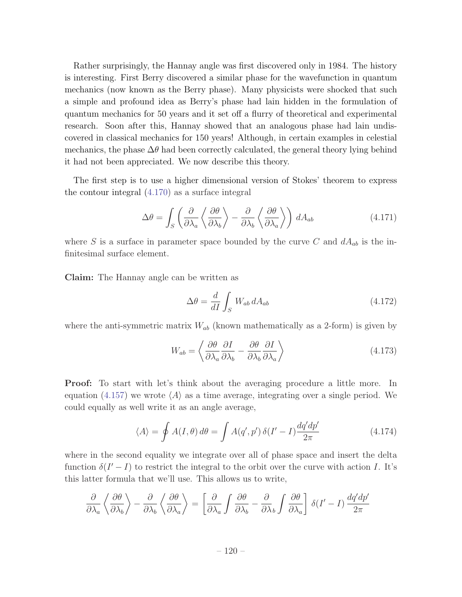Rather surprisingly, the Hannay angle was first discovered only in 1984. The history is interesting. First Berry discovered a similar phase for the wavefunction in quantum mechanics (now known as the Berry phase). Many physicists were shocked that such a simple and profound idea as Berry's phase had lain hidden in the formulation of quantum mechanics for 50 years and it set off a flurry of theoretical and experimental research. Soon after this, Hannay showed that an analogous phase had lain undiscovered in classical mechanics for 150 years! Although, in certain examples in celestial mechanics, the phase  $\Delta\theta$  had been correctly calculated, the general theory lying behind it had not been appreciated. We now describe this theory.

The first step is to use a higher dimensional version of Stokes' theorem to express the contour integral (4.170) as a surface integral

$$
\Delta\theta = \int_{S} \left( \frac{\partial}{\partial \lambda_a} \left\langle \frac{\partial \theta}{\partial \lambda_b} \right\rangle - \frac{\partial}{\partial \lambda_b} \left\langle \frac{\partial \theta}{\partial \lambda_a} \right\rangle \right) dA_{ab} \tag{4.171}
$$

where *S* is a surface in parameter space bounded by the curve *C* and  $dA_{ab}$  is the infinitesimal surface element.

Claim: The Hannay angle can be written as

$$
\Delta\theta = \frac{d}{dI} \int_{S} W_{ab} \, dA_{ab} \tag{4.172}
$$

where the anti-symmetric matrix  $W_{ab}$  (known mathematically as a 2-form) is given by

$$
W_{ab} = \left\langle \frac{\partial \theta}{\partial \lambda_a} \frac{\partial I}{\partial \lambda_b} - \frac{\partial \theta}{\partial \lambda_b} \frac{\partial I}{\partial \lambda_a} \right\rangle
$$
 (4.173)

**Proof:** To start with let's think about the averaging procedure a little more. In equation  $(4.157)$  we wrote  $\langle A \rangle$  as a time average, integrating over a single period. We could equally as well write it as an angle average,

$$
\langle A \rangle = \oint A(I, \theta) d\theta = \int A(q', p') \, \delta(I' - I) \frac{dq' dp'}{2\pi} \tag{4.174}
$$

where in the second equality we integrate over all of phase space and insert the delta function  $\delta(I'-I)$  to restrict the integral to the orbit over the curve with action *I*. It's this latter formula that we'll use. This allows us to write,

$$
\frac{\partial}{\partial \lambda_a} \left\langle \frac{\partial \theta}{\partial \lambda_b} \right\rangle - \frac{\partial}{\partial \lambda_b} \left\langle \frac{\partial \theta}{\partial \lambda_a} \right\rangle = \left[ \frac{\partial}{\partial \lambda_a} \int \frac{\partial \theta}{\partial \lambda_b} - \frac{\partial}{\partial \lambda_b} \int \frac{\partial \theta}{\partial \lambda_a} \right] \delta(I' - I) \frac{dq'dp'}{2\pi}
$$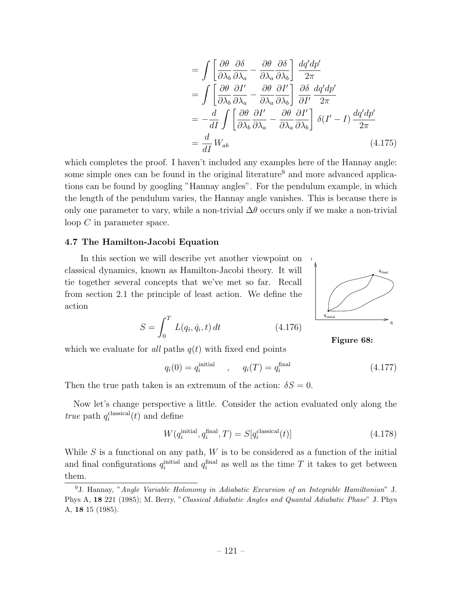$$
= \int \left[ \frac{\partial \theta}{\partial \lambda_b} \frac{\partial \delta}{\partial \lambda_a} - \frac{\partial \theta}{\partial \lambda_a} \frac{\partial \delta}{\partial \lambda_b} \right] \frac{dq'dp'}{2\pi}
$$
  
\n
$$
= \int \left[ \frac{\partial \theta}{\partial \lambda_b} \frac{\partial I'}{\partial \lambda_a} - \frac{\partial \theta}{\partial \lambda_a} \frac{\partial I'}{\partial \lambda_b} \right] \frac{\partial \delta}{\partial I'} \frac{dq'dp'}{2\pi}
$$
  
\n
$$
= -\frac{d}{dI} \int \left[ \frac{\partial \theta}{\partial \lambda_b} \frac{\partial I'}{\partial \lambda_a} - \frac{\partial \theta}{\partial \lambda_a} \frac{\partial I'}{\partial \lambda_b} \right] \delta(I' - I) \frac{dq'dp'}{2\pi}
$$
  
\n
$$
= \frac{d}{dI} W_{ab} \tag{4.175}
$$

which completes the proof. I haven't included any examples here of the Hannay angle: some simple ones can be found in the original literature<sup>9</sup> and more advanced applications can be found by googling "Hannay angles". For the pendulum example, in which the length of the pendulum varies, the Hannay angle vanishes. This is because there is only one parameter to vary, while a non-trivial  $\Delta\theta$  occurs only if we make a non-trivial loop *C* in parameter space.

#### 4.7 The Hamilton-Jacobi Equation

In this section we will describe yet another viewpoint on classical dynamics, known as Hamilton-Jacobi theory. It will tie together several concepts that we've met so far. Recall from section 2.1 the principle of least action. We define the action

$$
S = \int_0^T L(q_i, \dot{q}_i, t) dt
$$
 (4.176)



Figure 68:

which we evaluate for *all* paths  $q(t)$  with fixed end points

$$
q_i(0) = q_i^{\text{initial}}
$$
,  $q_i(T) = q_i^{\text{final}}$  (4.177)

Then the true path taken is an extremum of the action:  $\delta S = 0$ .

Now let's change perspective a little. Consider the action evaluated only along the *true* path  $q_i^{\text{classical}}(t)$  and define

$$
W(q_i^{\text{initial}}, q_i^{\text{final}}, T) = S[q_i^{\text{classical}}(t)] \tag{4.178}
$$

While *S* is a functional on any path, *W* is to be considered as a function of the initial and final configurations  $q_i^{\text{initial}}$  and  $q_i^{\text{final}}$  as well as the time *T* it takes to get between them.

<sup>9</sup>J. Hannay, "*Angle Variable Holonomy in Adiabatic Excursion of an Integrable Hamiltonian*" J. Phys A, 18 221 (1985); M. Berry, "*Classical Adiabatic Angles and Quantal Adiabatic Phase*" J. Phys A, 18 15 (1985).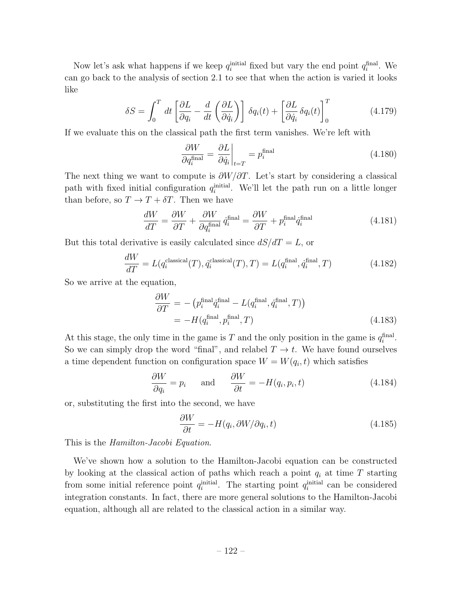Now let's ask what happens if we keep  $q_i^{\text{initial}}$  fixed but vary the end point  $q_i^{\text{final}}$ . We can go back to the analysis of section 2.1 to see that when the action is varied it looks like

$$
\delta S = \int_0^T dt \left[ \frac{\partial L}{\partial q_i} - \frac{d}{dt} \left( \frac{\partial L}{\partial \dot{q}_i} \right) \right] \delta q_i(t) + \left[ \frac{\partial L}{\partial \dot{q}_i} \delta q_i(t) \right]_0^T \tag{4.179}
$$

If we evaluate this on the classical path the first term vanishes. We're left with

$$
\frac{\partial W}{\partial q_i^{\text{final}}} = \frac{\partial L}{\partial \dot{q}_i} \bigg|_{t=T} = p_i^{\text{final}} \tag{4.180}
$$

The next thing we want to compute is  $\partial W/\partial T$ . Let's start by considering a classical path with fixed initial configuration  $q_i^{\text{initial}}$ . We'll let the path run on a little longer than before, so  $T \to T + \delta T$ . Then we have

$$
\frac{dW}{dT} = \frac{\partial W}{\partial T} + \frac{\partial W}{\partial q_i^{\text{final}}} \dot{q}_i^{\text{final}} = \frac{\partial W}{\partial T} + p_i^{\text{final}} \dot{q}_i^{\text{final}} \tag{4.181}
$$

But this total derivative is easily calculated since  $dS/dT = L$ , or

$$
\frac{dW}{dT} = L(q_i^{\text{classical}}(T), \dot{q}_i^{\text{classical}}(T), T) = L(q_i^{\text{final}}, \dot{q}_i^{\text{final}}, T) \tag{4.182}
$$

So we arrive at the equation,

$$
\frac{\partial W}{\partial T} = -\left(p_i^{\text{final}} \dot{q}_i^{\text{final}} - L(q_i^{\text{final}}, \dot{q}_i^{\text{final}}, T)\right) \n= -H(q_i^{\text{final}}, p_i^{\text{final}}, T)
$$
\n(4.183)

At this stage, the only time in the game is  $T$  and the only position in the game is  $q_i^{\text{final}}$ . So we can simply drop the word "final", and relabel  $T \to t$ . We have found ourselves a time dependent function on configuration space  $W = W(q_i, t)$  which satisfies

$$
\frac{\partial W}{\partial q_i} = p_i \quad \text{and} \quad \frac{\partial W}{\partial t} = -H(q_i, p_i, t) \tag{4.184}
$$

or, substituting the first into the second, we have

$$
\frac{\partial W}{\partial t} = -H(q_i, \partial W/\partial q_i, t) \tag{4.185}
$$

This is the *Hamilton-Jacobi Equation*.

We've shown how a solution to the Hamilton-Jacobi equation can be constructed by looking at the classical action of paths which reach a point  $q_i$  at time  $T$  starting from some initial reference point  $q_i^{\text{initial}}$ . The starting point  $q_i^{\text{initial}}$  can be considered integration constants. In fact, there are more general solutions to the Hamilton-Jacobi equation, although all are related to the classical action in a similar way.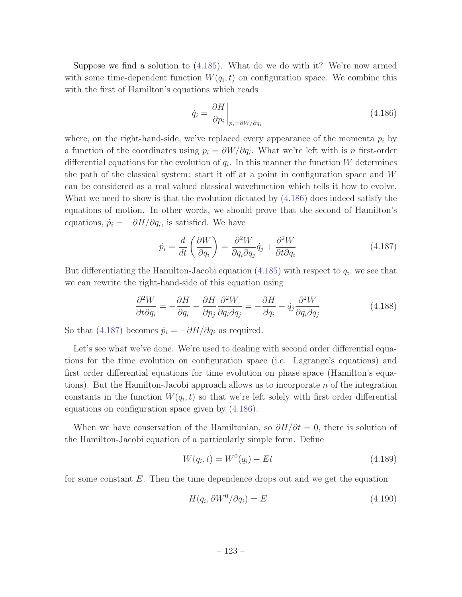Suppose we find a solution to (4.185). What do we do with it? We're now armed with some time-dependent function  $W(q_i, t)$  on configuration space. We combine this with the first of Hamilton's equations which reads

$$
\dot{q}_i = \left. \frac{\partial H}{\partial p_i} \right|_{p_i = \partial W / \partial q_i}
$$
\n(4.186)

where, on the right-hand-side, we've replaced every appearance of the momenta *p<sup>i</sup>* by a function of the coordinates using  $p_i = \partial W / \partial q_i$ . What we're left with is *n* first-order differential equations for the evolution of  $q_i$ . In this manner the function *W* determines the path of the classical system: start it off at a point in configuration space and W can be considered as a real valued classical wavefunction which tells it how to evolve. What we need to show is that the evolution dictated by (4.186) does indeed satisfy the equations of motion. In other words, we should prove that the second of Hamilton's equations,  $\dot{p}_i = -\partial H/\partial q_i$ , is satisfied. We have

$$
\dot{p}_i = \frac{d}{dt} \left( \frac{\partial W}{\partial q_i} \right) = \frac{\partial^2 W}{\partial q_i \partial q_j} \dot{q}_j + \frac{\partial^2 W}{\partial t \partial q_i} \tag{4.187}
$$

But differentiating the Hamilton-Jacobi equation  $(4.185)$  with respect to  $q_i$ , we see that we can rewrite the right-hand-side of this equation using

$$
\frac{\partial^2 W}{\partial t \partial q_i} = -\frac{\partial H}{\partial q_i} - \frac{\partial H}{\partial p_j} \frac{\partial^2 W}{\partial q_i \partial q_j} = -\frac{\partial H}{\partial q_i} - \dot{q}_j \frac{\partial^2 W}{\partial q_i \partial q_j} \tag{4.188}
$$

So that (4.187) becomes  $\dot{p}_i = -\partial H/\partial q_i$  as required.

Let's see what we've done. We're used to dealing with second order differential equations for the time evolution on configuration space (i.e. Lagrange's equations) and first order differential equations for time evolution on phase space (Hamilton's equations). But the Hamilton-Jacobi approach allows us to incorporate *n* of the integration constants in the function  $W(q_i, t)$  so that we're left solely with first order differential equations on configuration space given by (4.186).

When we have conservation of the Hamiltonian, so  $\partial H/\partial t = 0$ , there is solution of the Hamilton-Jacobi equation of a particularly simple form. Define

$$
W(q_i, t) = W^0(q_i) - Et \tag{4.189}
$$

for some constant *E*. Then the time dependence drops out and we get the equation

$$
H(q_i, \partial W^0 / \partial q_i) = E \tag{4.190}
$$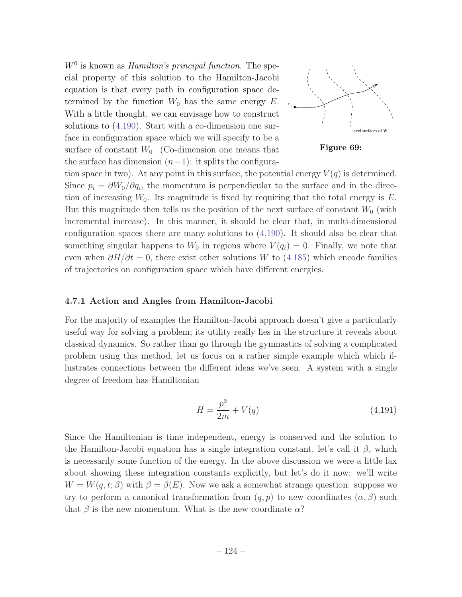*W*<sup>0</sup> is known as *Hamilton's principal function*. The special property of this solution to the Hamilton-Jacobi equation is that every path in configuration space determined by the function  $W_0$  has the same energy  $E$ . With a little thought, we can envisage how to construct solutions to (4.190). Start with a co-dimension one surface in configuration space which we will specify to be a surface of constant  $W_0$ . (Co-dimension one means that the surface has dimension  $(n-1)$ : it splits the configura-





tion space in two). At any point in this surface, the potential energy  $V(q)$  is determined. Since  $p_i = \partial W_0 / \partial q_i$ , the momentum is perpendicular to the surface and in the direction of increasing  $W_0$ . Its magnitude is fixed by requiring that the total energy is  $E$ . But this magnitude then tells us the position of the next surface of constant  $W_0$  (with incremental increase). In this manner, it should be clear that, in multi-dimensional configuration spaces there are many solutions to (4.190). It should also be clear that something singular happens to  $W_0$  in regions where  $V(q_i) = 0$ . Finally, we note that even when  $\partial H/\partial t = 0$ , there exist other solutions *W* to (4.185) which encode families of trajectories on configuration space which have different energies.

### 4.7.1 Action and Angles from Hamilton-Jacobi

For the majority of examples the Hamilton-Jacobi approach doesn't give a particularly useful way for solving a problem; its utility really lies in the structure it reveals about classical dynamics. So rather than go through the gymnastics of solving a complicated problem using this method, let us focus on a rather simple example which which illustrates connections between the different ideas we've seen. A system with a single degree of freedom has Hamiltonian

$$
H = \frac{p^2}{2m} + V(q) \tag{4.191}
$$

Since the Hamiltonian is time independent, energy is conserved and the solution to the Hamilton-Jacobi equation has a single integration constant, let's call it  $\beta$ , which is necessarily some function of the energy. In the above discussion we were a little lax about showing these integration constants explicitly, but let's do it now: we'll write  $W = W(q, t; \beta)$  with  $\beta = \beta(E)$ . Now we ask a somewhat strange question: suppose we try to perform a canonical transformation from  $(q, p)$  to new coordinates  $(\alpha, \beta)$  such that  $\beta$  is the new momentum. What is the new coordinate  $\alpha$ ?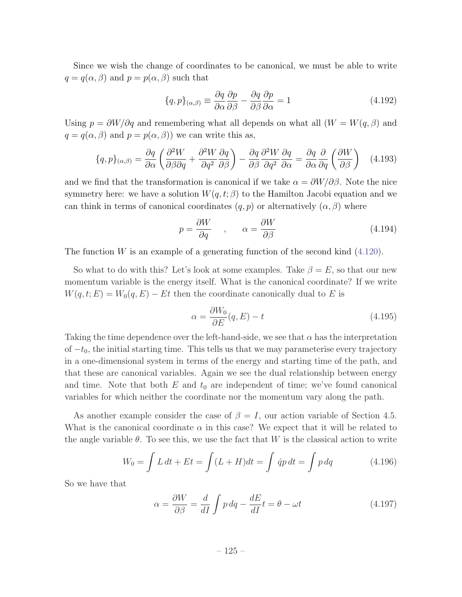Since we wish the change of coordinates to be canonical, we must be able to write  $q = q(\alpha, \beta)$  and  $p = p(\alpha, \beta)$  such that

$$
\{q, p\}_{(\alpha, \beta)} \equiv \frac{\partial q}{\partial \alpha} \frac{\partial p}{\partial \beta} - \frac{\partial q}{\partial \beta} \frac{\partial p}{\partial \alpha} = 1
$$
\n(4.192)

Using  $p = \partial W / \partial q$  and remembering what all depends on what all  $(W = W(q, \beta))$  and  $q = q(\alpha, \beta)$  and  $p = p(\alpha, \beta)$  we can write this as,

$$
\{q, p\}_{(\alpha, \beta)} = \frac{\partial q}{\partial \alpha} \left( \frac{\partial^2 W}{\partial \beta \partial q} + \frac{\partial^2 W}{\partial q^2} \frac{\partial q}{\partial \beta} \right) - \frac{\partial q}{\partial \beta} \frac{\partial^2 W}{\partial q^2} \frac{\partial q}{\partial \alpha} = \frac{\partial q}{\partial \alpha} \frac{\partial}{\partial q} \left( \frac{\partial W}{\partial \beta} \right) \tag{4.193}
$$

and we find that the transformation is canonical if we take  $\alpha = \partial W/\partial \beta$ . Note the nice symmetry here: we have a solution  $W(q, t; \beta)$  to the Hamilton Jacobi equation and we can think in terms of canonical coordinates  $(q, p)$  or alternatively  $(\alpha, \beta)$  where

$$
p = \frac{\partial W}{\partial q} \qquad , \qquad \alpha = \frac{\partial W}{\partial \beta} \tag{4.194}
$$

The function *W* is an example of a generating function of the second kind  $(4.120)$ .

So what to do with this? Let's look at some examples. Take  $\beta = E$ , so that our new momentum variable is the energy itself. What is the canonical coordinate? If we write  $W(q, t; E) = W_0(q, E) - Et$  then the coordinate canonically dual to *E* is

$$
\alpha = \frac{\partial W_0}{\partial E}(q, E) - t \tag{4.195}
$$

Taking the time dependence over the left-hand-side, we see that  $\alpha$  has the interpretation of  $-t_0$ , the initial starting time. This tells us that we may parameterise every trajectory in a one-dimensional system in terms of the energy and starting time of the path, and that these are canonical variables. Again we see the dual relationship between energy and time. Note that both  $E$  and  $t_0$  are independent of time; we've found canonical variables for which neither the coordinate nor the momentum vary along the path.

As another example consider the case of  $\beta = I$ , our action variable of Section 4.5. What is the canonical coordinate  $\alpha$  in this case? We expect that it will be related to the angle variable  $\theta$ . To see this, we use the fact that *W* is the classical action to write

$$
W_0 = \int L \, dt + Et = \int (L + H) dt = \int \dot{q}p \, dt = \int p \, dq \tag{4.196}
$$

So we have that

$$
\alpha = \frac{\partial W}{\partial \beta} = \frac{d}{dI} \int p \, dq - \frac{dE}{dI} t = \theta - \omega t \tag{4.197}
$$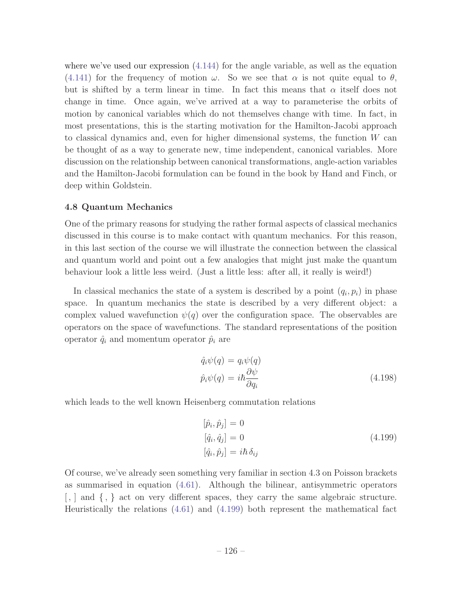where we've used our expression  $(4.144)$  for the angle variable, as well as the equation (4.141) for the frequency of motion  $\omega$ . So we see that  $\alpha$  is not quite equal to  $\theta$ , but is shifted by a term linear in time. In fact this means that  $\alpha$  itself does not change in time. Once again, we've arrived at a way to parameterise the orbits of motion by canonical variables which do not themselves change with time. In fact, in most presentations, this is the starting motivation for the Hamilton-Jacobi approach to classical dynamics and, even for higher dimensional systems, the function *W* can be thought of as a way to generate new, time independent, canonical variables. More discussion on the relationship between canonical transformations, angle-action variables and the Hamilton-Jacobi formulation can be found in the book by Hand and Finch, or deep within Goldstein.

# 4.8 Quantum Mechanics

One of the primary reasons for studying the rather formal aspects of classical mechanics discussed in this course is to make contact with quantum mechanics. For this reason, in this last section of the course we will illustrate the connection between the classical and quantum world and point out a few analogies that might just make the quantum behaviour look a little less weird. (Just a little less: after all, it really is weird!)

In classical mechanics the state of a system is described by a point  $(q_i, p_i)$  in phase space. In quantum mechanics the state is described by a very different object: a complex valued wavefunction  $\psi(q)$  over the configuration space. The observables are operators on the space of wavefunctions. The standard representations of the position operator  $\hat{q}_i$  and momentum operator  $\hat{p}_i$  are

$$
\hat{q}_i \psi(q) = q_i \psi(q) \n\hat{p}_i \psi(q) = i\hbar \frac{\partial \psi}{\partial q_i}
$$
\n(4.198)

which leads to the well known Heisenberg commutation relations

$$
[\hat{p}_i, \hat{p}_j] = 0
$$
  
\n
$$
[\hat{q}_i, \hat{q}_j] = 0
$$
  
\n
$$
[\hat{q}_i, \hat{p}_j] = i\hbar \delta_{ij}
$$
\n(4.199)

Of course, we've already seen something very familiar in section 4.3 on Poisson brackets as summarised in equation (4.61). Although the bilinear, antisymmetric operators  $\langle , \rangle$  and  $\langle , \rangle$  act on very different spaces, they carry the same algebraic structure. Heuristically the relations (4.61) and (4.199) both represent the mathematical fact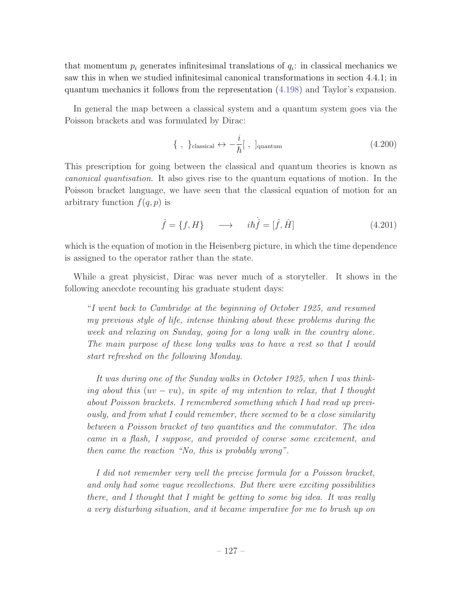that momentum  $p_i$  generates infinitesimal translations of  $q_i$ : in classical mechanics we saw this in when we studied infinitesimal canonical transformations in section 4.4.1; in quantum mechanics it follows from the representation (4.198) and Taylor's expansion.

In general the map between a classical system and a quantum system goes via the Poisson brackets and was formulated by Dirac:

$$
\{\ ,\ \}_{\text{classical}} \leftrightarrow -\frac{i}{\hbar}[\ ,\ ]_{\text{quantum}} \tag{4.200}
$$

This prescription for going between the classical and quantum theories is known as *canonical quantisation*. It also gives rise to the quantum equations of motion. In the Poisson bracket language, we have seen that the classical equation of motion for an arbitrary function  $f(q, p)$  is

$$
\dot{f} = \{f, H\} \longrightarrow \dot{i}\dot{h}\dot{\hat{f}} = [\hat{f}, \hat{H}]
$$
\n(4.201)

which is the equation of motion in the Heisenberg picture, in which the time dependence is assigned to the operator rather than the state.

While a great physicist, Dirac was never much of a storyteller. It shows in the following anecdote recounting his graduate student days:

"*I went back to Cambridge at the beginning of October 1925, and resumed my previous style of life, intense thinking about these problems during the week and relaxing on Sunday, going for a long walk in the country alone. The main purpose of these long walks was to have a rest so that I would start refreshed on the following Monday.*

*It was during one of the Sunday walks in October 1925, when I was thinking about this*  $(uv - vu)$ *, in spite of my intention to relax, that* I thought *about Poisson brackets. I remembered something which I had read up previously, and from what I could remember, there seemed to be a close similarity between a Poisson bracket of two quantities and the commutator. The idea came in a flash, I suppose, and provided of course some excitement, and then came the reaction "No, this is probably wrong".*

*I did not remember very well the precise formula for a Poisson bracket, and only had some vague recollections. But there were exciting possibilities there, and I thought that I might be getting to some big idea. It was really a very disturbing situation, and it became imperative for me to brush up on*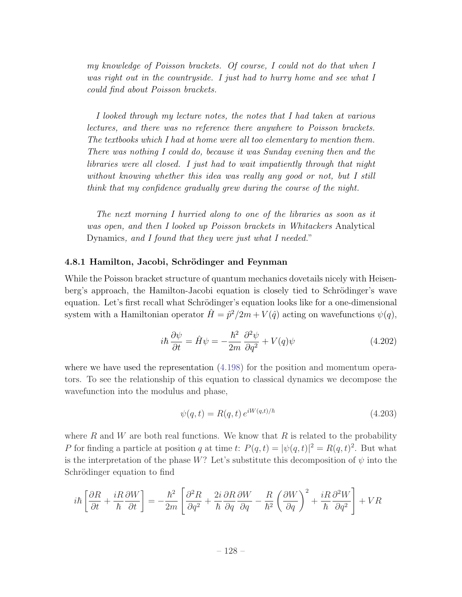*my knowledge of Poisson brackets. Of course, I could not do that when I was right out in the countryside. I just had to hurry home and see what I could find about Poisson brackets.*

*I looked through my lecture notes, the notes that I had taken at various lectures, and there was no reference there anywhere to Poisson brackets. The textbooks which I had at home were all too elementary to mention them. There was nothing I could do, because it was Sunday evening then and the libraries were all closed. I just had to wait impatiently through that night without knowing whether this idea was really any good or not, but I still think that my confidence gradually grew during the course of the night.*

*The next morning I hurried along to one of the libraries as soon as it was open, and then I looked up Poisson brackets in Whitackers* Analytical Dynamics*, and I found that they were just what I needed.*"

### 4.8.1 Hamilton, Jacobi, Schrödinger and Feynman

While the Poisson bracket structure of quantum mechanics dovetails nicely with Heisenberg's approach, the Hamilton-Jacobi equation is closely tied to Schrödinger's wave equation. Let's first recall what Schrödinger's equation looks like for a one-dimensional system with a Hamiltonian operator  $\hat{H} = \hat{p}^2/2m + V(\hat{q})$  acting on wavefunctions  $\psi(q)$ ,

$$
i\hbar \frac{\partial \psi}{\partial t} = \hat{H}\psi = -\frac{\hbar^2}{2m} \frac{\partial^2 \psi}{\partial q^2} + V(q)\psi
$$
 (4.202)

where we have used the representation  $(4.198)$  for the position and momentum operators. To see the relationship of this equation to classical dynamics we decompose the wavefunction into the modulus and phase,

$$
\psi(q, t) = R(q, t) e^{iW(q, t)/\hbar} \tag{4.203}
$$

where  $R$  and  $W$  are both real functions. We know that  $R$  is related to the probability *P* for finding a particle at position *q* at time *t*:  $P(q, t) = |\psi(q, t)|^2 = R(q, t)^2$ . But what is the interpretation of the phase *W*? Let's substitute this decomposition of  $\psi$  into the Schrödinger equation to find

$$
i\hbar \left[\frac{\partial R}{\partial t} + \frac{iR}{\hbar} \frac{\partial W}{\partial t}\right] = -\frac{\hbar^2}{2m} \left[\frac{\partial^2 R}{\partial q^2} + \frac{2i}{\hbar} \frac{\partial R}{\partial q} \frac{\partial W}{\partial q} - \frac{R}{\hbar^2} \left(\frac{\partial W}{\partial q}\right)^2 + \frac{iR}{\hbar} \frac{\partial^2 W}{\partial q^2}\right] + VR
$$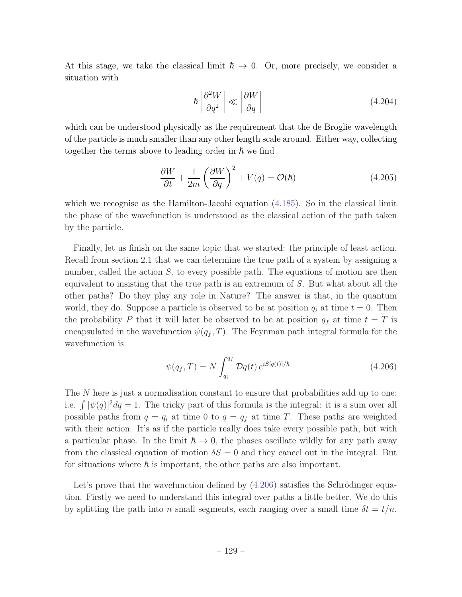At this stage, we take the classical limit  $\hbar \to 0$ . Or, more precisely, we consider a situation with

$$
\hbar \left| \frac{\partial^2 W}{\partial q^2} \right| \ll \left| \frac{\partial W}{\partial q} \right| \tag{4.204}
$$

which can be understood physically as the requirement that the de Broglie wavelength of the particle is much smaller than any other length scale around. Either way, collecting together the terms above to leading order in  $\hbar$  we find

$$
\frac{\partial W}{\partial t} + \frac{1}{2m} \left( \frac{\partial W}{\partial q} \right)^2 + V(q) = \mathcal{O}(\hbar) \tag{4.205}
$$

which we recognise as the Hamilton-Jacobi equation  $(4.185)$ . So in the classical limit the phase of the wavefunction is understood as the classical action of the path taken by the particle.

Finally, let us finish on the same topic that we started: the principle of least action. Recall from section 2.1 that we can determine the true path of a system by assigning a number, called the action *S*, to every possible path. The equations of motion are then equivalent to insisting that the true path is an extremum of *S*. But what about all the other paths? Do they play any role in Nature? The answer is that, in the quantum world, they do. Suppose a particle is observed to be at position  $q_i$  at time  $t = 0$ . Then the probability P that it will later be observed to be at position  $q_f$  at time  $t = T$  is encapsulated in the wavefunction  $\psi(q_f, T)$ . The Feynman path integral formula for the wavefunction is

$$
\psi(q_f, T) = N \int_{q_i}^{q_f} \mathcal{D}q(t) e^{iS[q(t)]/\hbar}
$$
\n(4.206)

The *N* here is just a normalisation constant to ensure that probabilities add up to one: i.e.  $\int |\psi(q)|^2 dq = 1$ . The tricky part of this formula is the integral: it is a sum over all possible paths from  $q = q_i$  at time 0 to  $q = q_f$  at time *T*. These paths are weighted with their action. It's as if the particle really does take every possible path, but with a particular phase. In the limit  $\hbar \to 0$ , the phases oscillate wildly for any path away from the classical equation of motion  $\delta S = 0$  and they cancel out in the integral. But for situations where  $\hbar$  is important, the other paths are also important.

Let's prove that the wavefunction defined by  $(4.206)$  satisfies the Schrödinger equation. Firstly we need to understand this integral over paths a little better. We do this by splitting the path into *n* small segments, each ranging over a small time  $\delta t = t/n$ .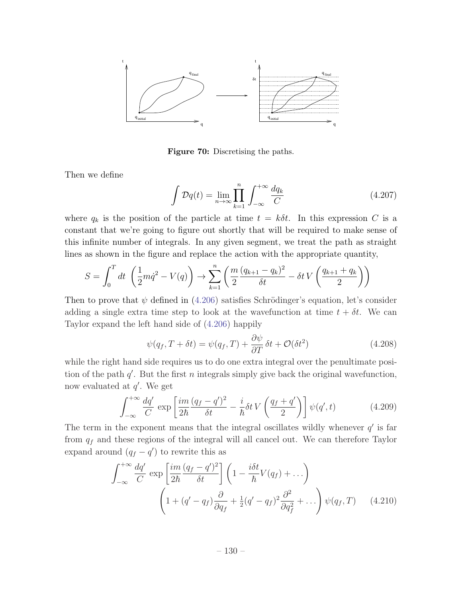

Figure 70: Discretising the paths.

Then we define

$$
\int \mathcal{D}q(t) = \lim_{n \to \infty} \prod_{k=1}^{n} \int_{-\infty}^{+\infty} \frac{dq_k}{C}
$$
\n(4.207)

where  $q_k$  is the position of the particle at time  $t = k\delta t$ . In this expression C is a constant that we're going to figure out shortly that will be required to make sense of this infinite number of integrals. In any given segment, we treat the path as straight lines as shown in the figure and replace the action with the appropriate quantity,

$$
S = \int_0^T dt \left( \frac{1}{2} m \dot{q}^2 - V(q) \right) \to \sum_{k=1}^n \left( \frac{m}{2} \frac{(q_{k+1} - q_k)^2}{\delta t} - \delta t V \left( \frac{q_{k+1} + q_k}{2} \right) \right)
$$

Then to prove that  $\psi$  defined in (4.206) satisfies Schrödinger's equation, let's consider adding a single extra time step to look at the wavefunction at time  $t + \delta t$ . We can Taylor expand the left hand side of (4.206) happily

$$
\psi(q_f, T + \delta t) = \psi(q_f, T) + \frac{\partial \psi}{\partial T} \delta t + \mathcal{O}(\delta t^2)
$$
\n(4.208)

while the right hand side requires us to do one extra integral over the penultimate position of the path  $q'$ . But the first *n* integrals simply give back the original wavefunction, now evaluated at  $q'$ . We get

$$
\int_{-\infty}^{+\infty} \frac{dq'}{C} \exp\left[\frac{im}{2\hbar} \frac{(q_f - q')^2}{\delta t} - \frac{i}{\hbar} \delta t V \left(\frac{q_f + q'}{2}\right)\right] \psi(q', t)
$$
(4.209)

The term in the exponent means that the integral oscillates wildly whenever  $q'$  is far from *q<sup>f</sup>* and these regions of the integral will all cancel out. We can therefore Taylor expand around  $(q_f - q')$  to rewrite this as

$$
\int_{-\infty}^{+\infty} \frac{dq'}{C} \exp\left[\frac{im}{2\hbar} \frac{(q_f - q')^2}{\delta t}\right] \left(1 - \frac{i\delta t}{\hbar} V(q_f) + \ldots\right)
$$

$$
\left(1 + (q' - q_f) \frac{\partial}{\partial q_f} + \frac{1}{2} (q' - q_f)^2 \frac{\partial^2}{\partial q_f^2} + \ldots\right) \psi(q_f, T) \tag{4.210}
$$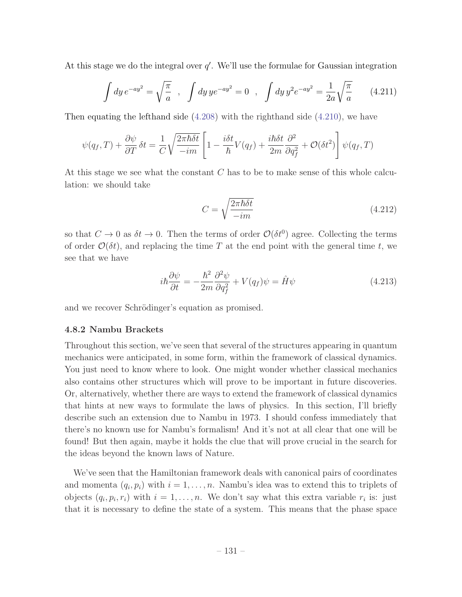At this stage we do the integral over  $q'$ . We'll use the formulae for Gaussian integration

$$
\int dy \, e^{-ay^2} = \sqrt{\frac{\pi}{a}} \quad , \quad \int dy \, ye^{-ay^2} = 0 \quad , \quad \int dy \, y^2 e^{-ay^2} = \frac{1}{2a} \sqrt{\frac{\pi}{a}} \tag{4.211}
$$

Then equating the lefthand side (4.208) with the righthand side (4.210), we have

$$
\psi(q_f, T) + \frac{\partial \psi}{\partial T} \delta t = \frac{1}{C} \sqrt{\frac{2\pi \hbar \delta t}{-im}} \left[ 1 - \frac{i\delta t}{\hbar} V(q_f) + \frac{i\hbar \delta t}{2m} \frac{\partial^2}{\partial q_f^2} + \mathcal{O}(\delta t^2) \right] \psi(q_f, T)
$$

At this stage we see what the constant *C* has to be to make sense of this whole calculation: we should take

$$
C = \sqrt{\frac{2\pi\hbar\delta t}{-im}}\tag{4.212}
$$

so that  $C \to 0$  as  $\delta t \to 0$ . Then the terms of order  $\mathcal{O}(\delta t^0)$  agree. Collecting the terms of order  $\mathcal{O}(\delta t)$ , and replacing the time T at the end point with the general time t, we see that we have

$$
i\hbar \frac{\partial \psi}{\partial t} = -\frac{\hbar^2}{2m} \frac{\partial^2 \psi}{\partial q_f^2} + V(q_f)\psi = \hat{H}\psi
$$
\n(4.213)

and we recover Schrödinger's equation as promised.

### 4.8.2 Nambu Brackets

Throughout this section, we've seen that several of the structures appearing in quantum mechanics were anticipated, in some form, within the framework of classical dynamics. You just need to know where to look. One might wonder whether classical mechanics also contains other structures which will prove to be important in future discoveries. Or, alternatively, whether there are ways to extend the framework of classical dynamics that hints at new ways to formulate the laws of physics. In this section, I'll briefly describe such an extension due to Nambu in 1973. I should confess immediately that there's no known use for Nambu's formalism! And it's not at all clear that one will be found! But then again, maybe it holds the clue that will prove crucial in the search for the ideas beyond the known laws of Nature.

We've seen that the Hamiltonian framework deals with canonical pairs of coordinates and momenta  $(q_i, p_i)$  with  $i = 1, \ldots, n$ . Nambu's idea was to extend this to triplets of objects  $(q_i, p_i, r_i)$  with  $i = 1, \ldots, n$ . We don't say what this extra variable  $r_i$  is: just that it is necessary to define the state of a system. This means that the phase space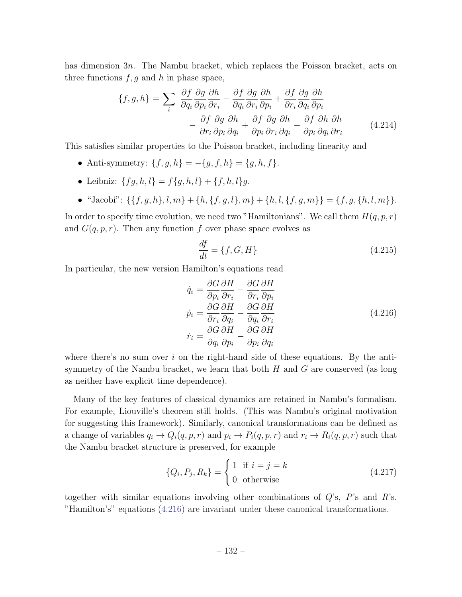has dimension 3*n*. The Nambu bracket, which replaces the Poisson bracket, acts on three functions  $f, g$  and  $h$  in phase space,

$$
\{f, g, h\} = \sum_{i} \frac{\partial f}{\partial q_{i}} \frac{\partial g}{\partial p_{i}} \frac{\partial h}{\partial r_{i}} - \frac{\partial f}{\partial q_{i}} \frac{\partial g}{\partial r_{i}} \frac{\partial h}{\partial p_{i}} + \frac{\partial f}{\partial r_{i}} \frac{\partial g}{\partial q_{i}} \frac{\partial h}{\partial p_{i}} - \frac{\partial f}{\partial r_{i}} \frac{\partial g}{\partial p_{i}} \frac{\partial h}{\partial q_{i}} + \frac{\partial f}{\partial p_{i}} \frac{\partial g}{\partial r_{i}} \frac{\partial h}{\partial q_{i}} - \frac{\partial f}{\partial p_{i}} \frac{\partial h}{\partial q_{i}} \frac{\partial h}{\partial r_{i}}
$$
(4.214)

This satisfies similar properties to the Poisson bracket, including linearity and

- Anti-symmetry:  ${f, g, h} = -{g, f, h} = {g, h, f}.$
- Leibniz:  ${f}{g,h,l} = f{g,h,l} + {f,h,l}g$ .
- "Jacobi":  $\{\{f, g, h\}, l, m\} + \{h, \{f, g, l\}, m\} + \{h, l, \{f, g, m\}\} = \{f, g, \{h, l, m\}\}.$

In order to specify time evolution, we need two "Hamiltonians". We call them  $H(q, p, r)$ and  $G(q, p, r)$ . Then any function f over phase space evolves as

$$
\frac{df}{dt} = \{f, G, H\} \tag{4.215}
$$

In particular, the new version Hamilton's equations read

$$
\dot{q}_i = \frac{\partial G}{\partial p_i} \frac{\partial H}{\partial r_i} - \frac{\partial G}{\partial r_i} \frac{\partial H}{\partial p_i}
$$
\n
$$
\dot{p}_i = \frac{\partial G}{\partial r_i} \frac{\partial H}{\partial q_i} - \frac{\partial G}{\partial q_i} \frac{\partial H}{\partial r_i}
$$
\n
$$
\dot{r}_i = \frac{\partial G}{\partial q_i} \frac{\partial H}{\partial p_i} - \frac{\partial G}{\partial p_i} \frac{\partial H}{\partial q_i}
$$
\n(4.216)

where there's no sum over  $i$  on the right-hand side of these equations. By the antisymmetry of the Nambu bracket, we learn that both *H* and *G* are conserved (as long as neither have explicit time dependence).

Many of the key features of classical dynamics are retained in Nambu's formalism. For example, Liouville's theorem still holds. (This was Nambu's original motivation for suggesting this framework). Similarly, canonical transformations can be defined as a change of variables  $q_i \rightarrow Q_i(q, p, r)$  and  $p_i \rightarrow P_i(q, p, r)$  and  $r_i \rightarrow R_i(q, p, r)$  such that the Nambu bracket structure is preserved, for example

$$
\{Q_i, P_j, R_k\} = \begin{cases} 1 & \text{if } i = j = k \\ 0 & \text{otherwise} \end{cases}
$$
 (4.217)

together with similar equations involving other combinations of *Q*'s, *P*'s and *R*'s. "Hamilton's" equations (4.216) are invariant under these canonical transformations.